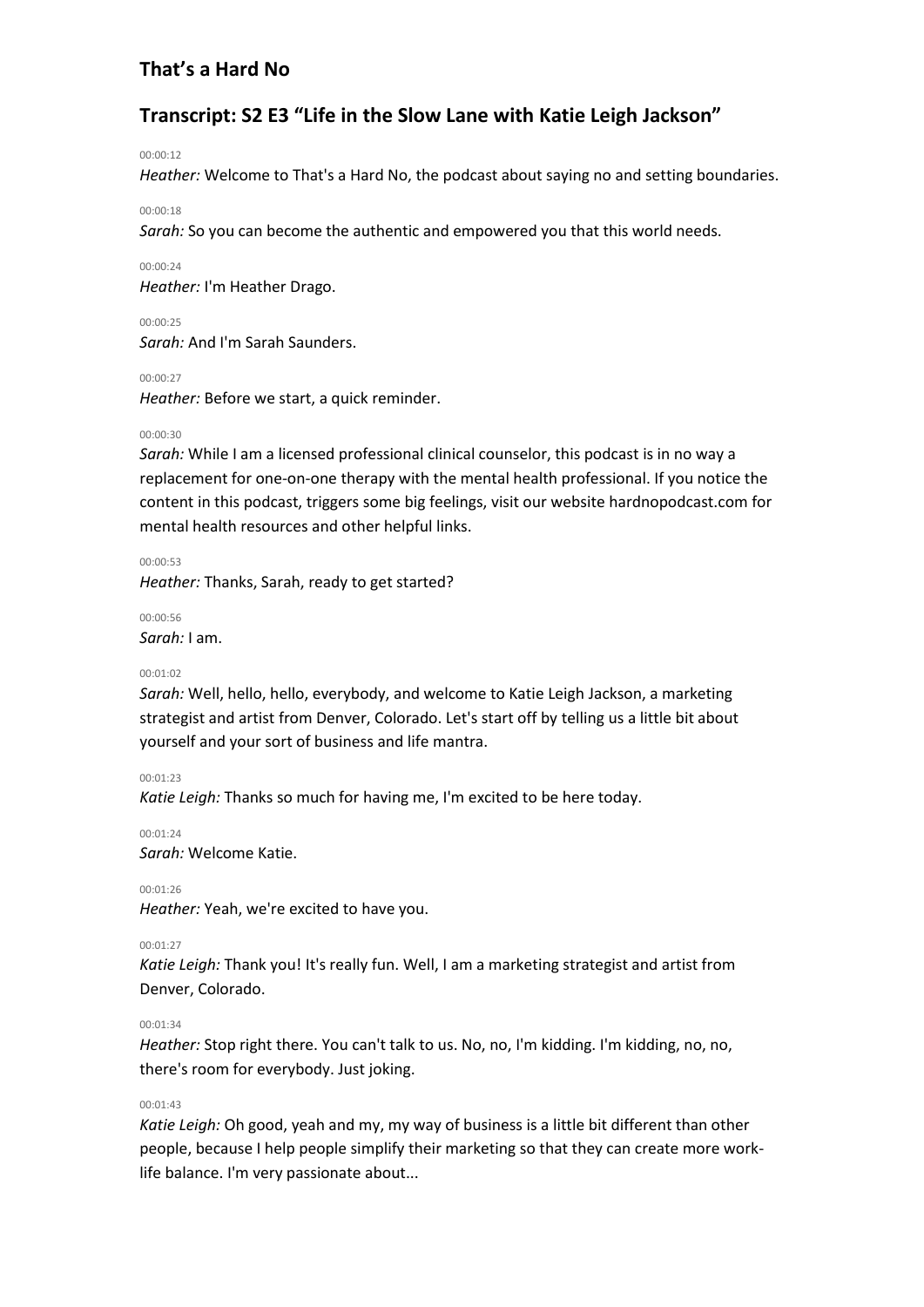# **Transcript: S2 E3 "Life in the Slow Lane with Katie Leigh Jackson"**

#### 00:00:12

*Heather:* Welcome to That's a Hard No, the podcast about saying no and setting boundaries.

#### 00:00:18

*Sarah:* So you can become the authentic and empowered you that this world needs.

#### 00:00:24

*Heather:* I'm Heather Drago.

#### 00:00:25

*Sarah:* And I'm Sarah Saunders.

### 00:00:27

*Heather:* Before we start, a quick reminder.

### 00:00:30

*Sarah:* While I am a licensed professional clinical counselor, this podcast is in no way a replacement for one-on-one therapy with the mental health professional. If you notice the content in this podcast, triggers some big feelings, visit our website hardnopodcast.com for mental health resources and other helpful links.

00:00:53

*Heather:* Thanks, Sarah, ready to get started?

00:00:56 *Sarah:* I am.

### 00:01:02

*Sarah:* Well, hello, hello, everybody, and welcome to Katie Leigh Jackson, a marketing strategist and artist from Denver, Colorado. Let's start off by telling us a little bit about yourself and your sort of business and life mantra.

### 00:01:23

*Katie Leigh:* Thanks so much for having me, I'm excited to be here today.

00:01:24

*Sarah:* Welcome Katie.

00:01:26

*Heather:* Yeah, we're excited to have you.

### 00:01:27

*Katie Leigh:* Thank you! It's really fun. Well, I am a marketing strategist and artist from Denver, Colorado.

### 00:01:34

*Heather:* Stop right there. You can't talk to us. No, no, I'm kidding. I'm kidding, no, no, there's room for everybody. Just joking.

### 00:01:43

*Katie Leigh:* Oh good, yeah and my, my way of business is a little bit different than other people, because I help people simplify their marketing so that they can create more worklife balance. I'm very passionate about...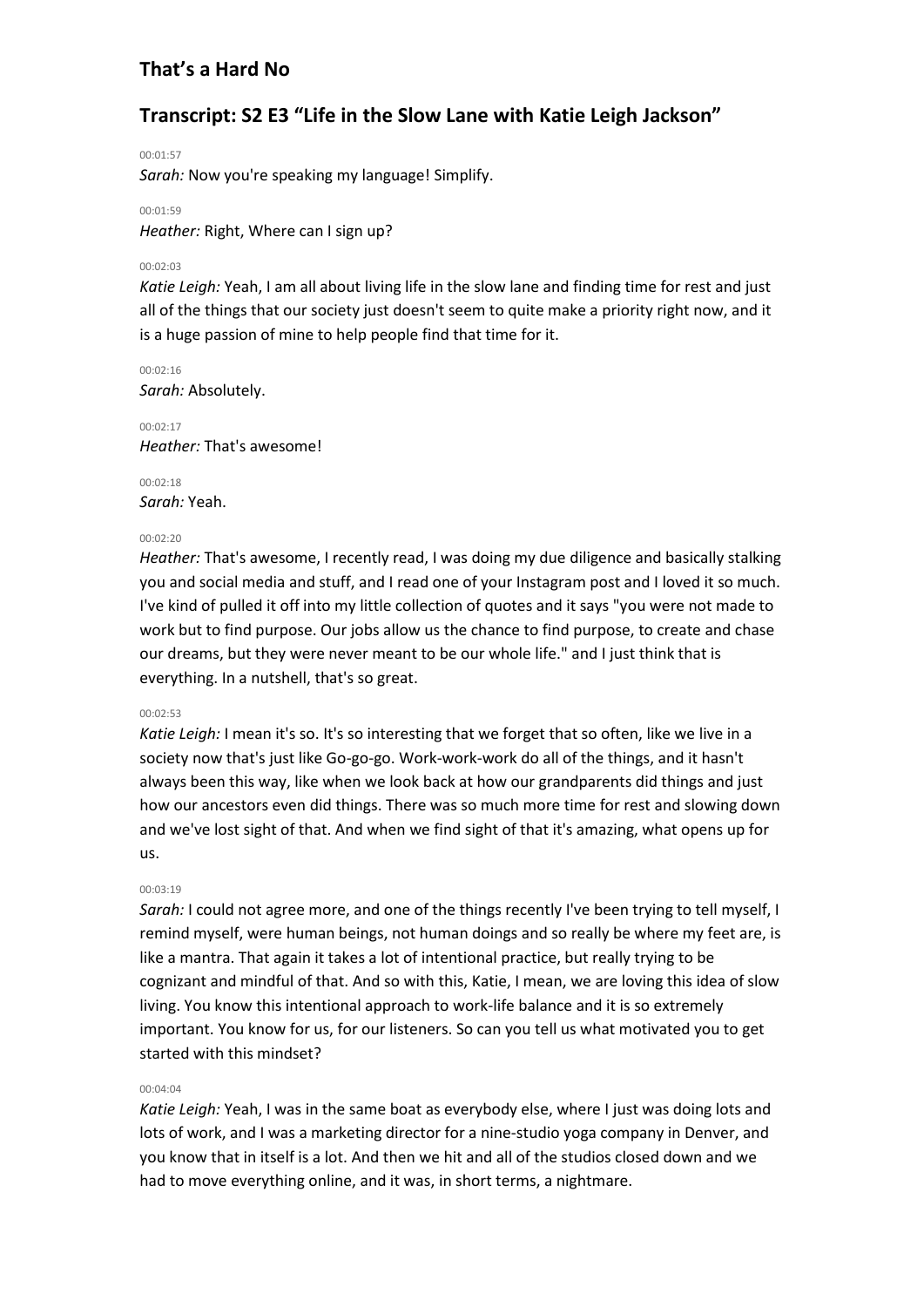# **Transcript: S2 E3 "Life in the Slow Lane with Katie Leigh Jackson"**

00:01:57

*Sarah:* Now you're speaking my language! Simplify.

### 00:01:59

*Heather:* Right, Where can I sign up?

### 00:02:03

*Katie Leigh:* Yeah, I am all about living life in the slow lane and finding time for rest and just all of the things that our society just doesn't seem to quite make a priority right now, and it is a huge passion of mine to help people find that time for it.

00:02:16 *Sarah:* Absolutely.

00:02:17 *Heather:* That's awesome!

00:02:18 *Sarah:* Yeah.

### 00:02:20

*Heather:* That's awesome, I recently read, I was doing my due diligence and basically stalking you and social media and stuff, and I read one of your Instagram post and I loved it so much. I've kind of pulled it off into my little collection of quotes and it says "you were not made to work but to find purpose. Our jobs allow us the chance to find purpose, to create and chase our dreams, but they were never meant to be our whole life." and I just think that is everything. In a nutshell, that's so great.

### 00:02:53

*Katie Leigh:* I mean it's so. It's so interesting that we forget that so often, like we live in a society now that's just like Go-go-go. Work-work-work do all of the things, and it hasn't always been this way, like when we look back at how our grandparents did things and just how our ancestors even did things. There was so much more time for rest and slowing down and we've lost sight of that. And when we find sight of that it's amazing, what opens up for us.

### 00:03:19

*Sarah:* I could not agree more, and one of the things recently I've been trying to tell myself, I remind myself, were human beings, not human doings and so really be where my feet are, is like a mantra. That again it takes a lot of intentional practice, but really trying to be cognizant and mindful of that. And so with this, Katie, I mean, we are loving this idea of slow living. You know this intentional approach to work-life balance and it is so extremely important. You know for us, for our listeners. So can you tell us what motivated you to get started with this mindset?

# 00:04:04

*Katie Leigh:* Yeah, I was in the same boat as everybody else, where I just was doing lots and lots of work, and I was a marketing director for a nine-studio yoga company in Denver, and you know that in itself is a lot. And then we hit and all of the studios closed down and we had to move everything online, and it was, in short terms, a nightmare.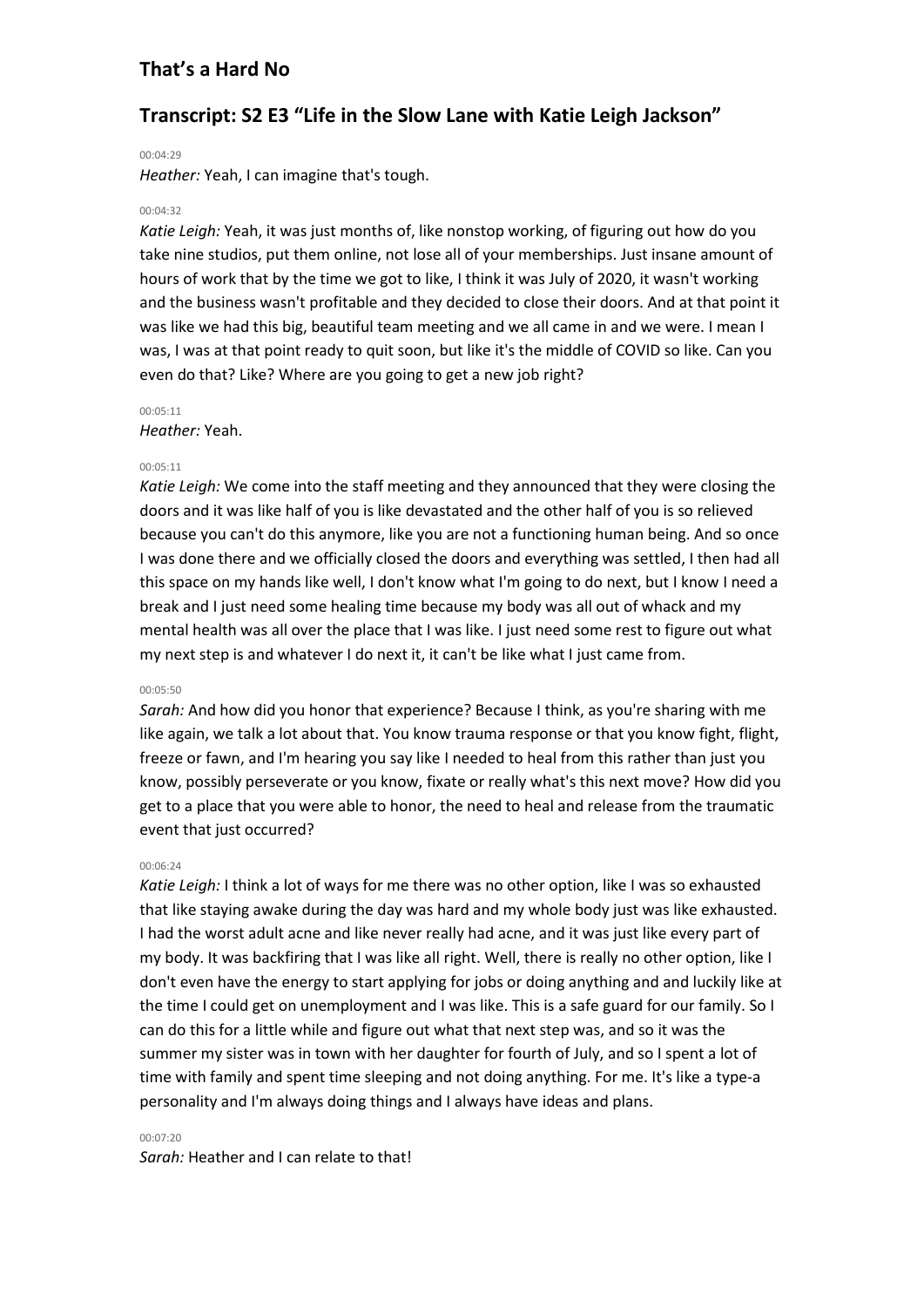# **Transcript: S2 E3 "Life in the Slow Lane with Katie Leigh Jackson"**

#### 00:04:29

*Heather:* Yeah, I can imagine that's tough.

#### 00:04:32

*Katie Leigh:* Yeah, it was just months of, like nonstop working, of figuring out how do you take nine studios, put them online, not lose all of your memberships. Just insane amount of hours of work that by the time we got to like, I think it was July of 2020, it wasn't working and the business wasn't profitable and they decided to close their doors. And at that point it was like we had this big, beautiful team meeting and we all came in and we were. I mean I was, I was at that point ready to quit soon, but like it's the middle of COVID so like. Can you even do that? Like? Where are you going to get a new job right?

#### 00:05:11

*Heather:* Yeah.

#### 00:05:11

*Katie Leigh:* We come into the staff meeting and they announced that they were closing the doors and it was like half of you is like devastated and the other half of you is so relieved because you can't do this anymore, like you are not a functioning human being. And so once I was done there and we officially closed the doors and everything was settled, I then had all this space on my hands like well, I don't know what I'm going to do next, but I know I need a break and I just need some healing time because my body was all out of whack and my mental health was all over the place that I was like. I just need some rest to figure out what my next step is and whatever I do next it, it can't be like what I just came from.

#### 00:05:50

*Sarah:* And how did you honor that experience? Because I think, as you're sharing with me like again, we talk a lot about that. You know trauma response or that you know fight, flight, freeze or fawn, and I'm hearing you say like I needed to heal from this rather than just you know, possibly perseverate or you know, fixate or really what's this next move? How did you get to a place that you were able to honor, the need to heal and release from the traumatic event that just occurred?

#### 00:06:24

*Katie Leigh:* I think a lot of ways for me there was no other option, like I was so exhausted that like staying awake during the day was hard and my whole body just was like exhausted. I had the worst adult acne and like never really had acne, and it was just like every part of my body. It was backfiring that I was like all right. Well, there is really no other option, like I don't even have the energy to start applying for jobs or doing anything and and luckily like at the time I could get on unemployment and I was like. This is a safe guard for our family. So I can do this for a little while and figure out what that next step was, and so it was the summer my sister was in town with her daughter for fourth of July, and so I spent a lot of time with family and spent time sleeping and not doing anything. For me. It's like a type-a personality and I'm always doing things and I always have ideas and plans.

#### 00:07:20

*Sarah:* Heather and I can relate to that!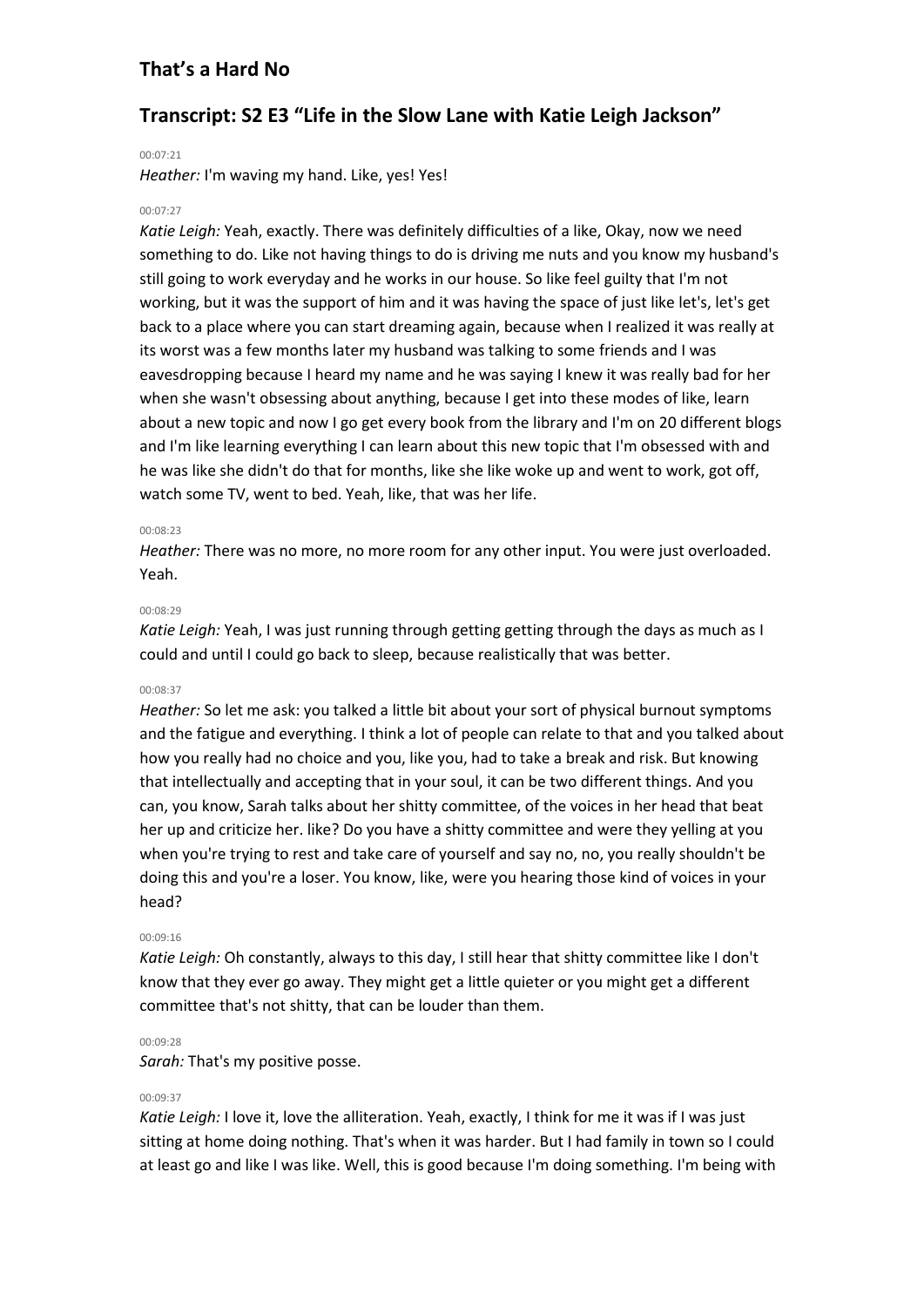# **Transcript: S2 E3 "Life in the Slow Lane with Katie Leigh Jackson"**

#### 00:07:21

*Heather:* I'm waving my hand. Like, yes! Yes!

#### 00:07:27

*Katie Leigh:* Yeah, exactly. There was definitely difficulties of a like, Okay, now we need something to do. Like not having things to do is driving me nuts and you know my husband's still going to work everyday and he works in our house. So like feel guilty that I'm not working, but it was the support of him and it was having the space of just like let's, let's get back to a place where you can start dreaming again, because when I realized it was really at its worst was a few months later my husband was talking to some friends and I was eavesdropping because I heard my name and he was saying I knew it was really bad for her when she wasn't obsessing about anything, because I get into these modes of like, learn about a new topic and now I go get every book from the library and I'm on 20 different blogs and I'm like learning everything I can learn about this new topic that I'm obsessed with and he was like she didn't do that for months, like she like woke up and went to work, got off, watch some TV, went to bed. Yeah, like, that was her life.

#### 00:08:23

*Heather:* There was no more, no more room for any other input. You were just overloaded. Yeah.

#### 00:08:29

*Katie Leigh:* Yeah, I was just running through getting getting through the days as much as I could and until I could go back to sleep, because realistically that was better.

#### 00:08:37

*Heather:* So let me ask: you talked a little bit about your sort of physical burnout symptoms and the fatigue and everything. I think a lot of people can relate to that and you talked about how you really had no choice and you, like you, had to take a break and risk. But knowing that intellectually and accepting that in your soul, it can be two different things. And you can, you know, Sarah talks about her shitty committee, of the voices in her head that beat her up and criticize her. like? Do you have a shitty committee and were they yelling at you when you're trying to rest and take care of yourself and say no, no, you really shouldn't be doing this and you're a loser. You know, like, were you hearing those kind of voices in your head?

#### 00:09:16

*Katie Leigh:* Oh constantly, always to this day, I still hear that shitty committee like I don't know that they ever go away. They might get a little quieter or you might get a different committee that's not shitty, that can be louder than them.

#### 00:09:28

*Sarah:* That's my positive posse.

#### 00:09:37

*Katie Leigh:* I love it, love the alliteration. Yeah, exactly, I think for me it was if I was just sitting at home doing nothing. That's when it was harder. But I had family in town so I could at least go and like I was like. Well, this is good because I'm doing something. I'm being with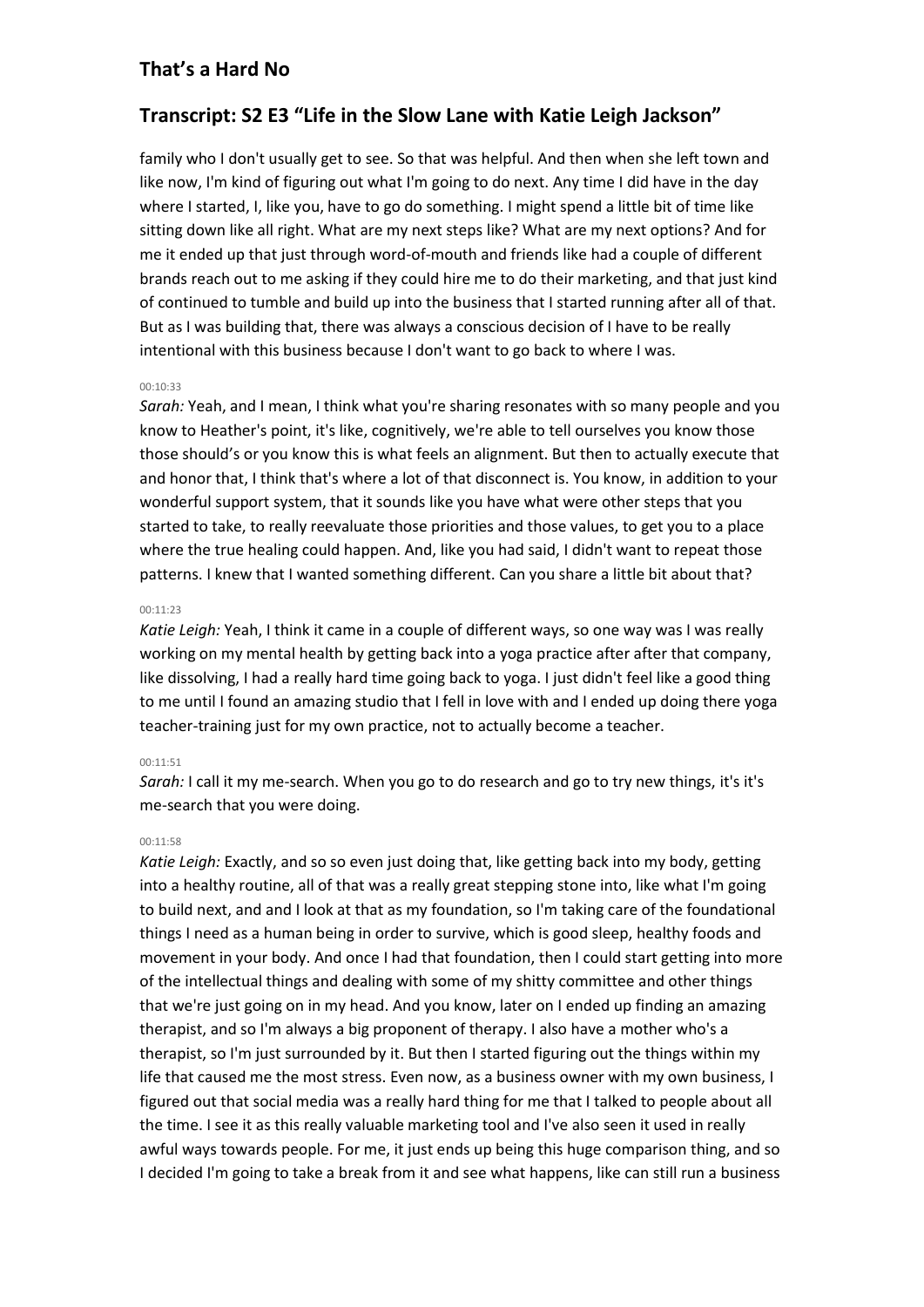# **Transcript: S2 E3 "Life in the Slow Lane with Katie Leigh Jackson"**

family who I don't usually get to see. So that was helpful. And then when she left town and like now, I'm kind of figuring out what I'm going to do next. Any time I did have in the day where I started, I, like you, have to go do something. I might spend a little bit of time like sitting down like all right. What are my next steps like? What are my next options? And for me it ended up that just through word-of-mouth and friends like had a couple of different brands reach out to me asking if they could hire me to do their marketing, and that just kind of continued to tumble and build up into the business that I started running after all of that. But as I was building that, there was always a conscious decision of I have to be really intentional with this business because I don't want to go back to where I was.

### 00:10:33

*Sarah:* Yeah, and I mean, I think what you're sharing resonates with so many people and you know to Heather's point, it's like, cognitively, we're able to tell ourselves you know those those should's or you know this is what feels an alignment. But then to actually execute that and honor that, I think that's where a lot of that disconnect is. You know, in addition to your wonderful support system, that it sounds like you have what were other steps that you started to take, to really reevaluate those priorities and those values, to get you to a place where the true healing could happen. And, like you had said, I didn't want to repeat those patterns. I knew that I wanted something different. Can you share a little bit about that?

### 00:11:23

*Katie Leigh:* Yeah, I think it came in a couple of different ways, so one way was I was really working on my mental health by getting back into a yoga practice after after that company, like dissolving, I had a really hard time going back to yoga. I just didn't feel like a good thing to me until I found an amazing studio that I fell in love with and I ended up doing there yoga teacher-training just for my own practice, not to actually become a teacher.

### 00:11:51

*Sarah:* I call it my me-search. When you go to do research and go to try new things, it's it's me-search that you were doing.

### 00:11:58

*Katie Leigh:* Exactly, and so so even just doing that, like getting back into my body, getting into a healthy routine, all of that was a really great stepping stone into, like what I'm going to build next, and and I look at that as my foundation, so I'm taking care of the foundational things I need as a human being in order to survive, which is good sleep, healthy foods and movement in your body. And once I had that foundation, then I could start getting into more of the intellectual things and dealing with some of my shitty committee and other things that we're just going on in my head. And you know, later on I ended up finding an amazing therapist, and so I'm always a big proponent of therapy. I also have a mother who's a therapist, so I'm just surrounded by it. But then I started figuring out the things within my life that caused me the most stress. Even now, as a business owner with my own business, I figured out that social media was a really hard thing for me that I talked to people about all the time. I see it as this really valuable marketing tool and I've also seen it used in really awful ways towards people. For me, it just ends up being this huge comparison thing, and so I decided I'm going to take a break from it and see what happens, like can still run a business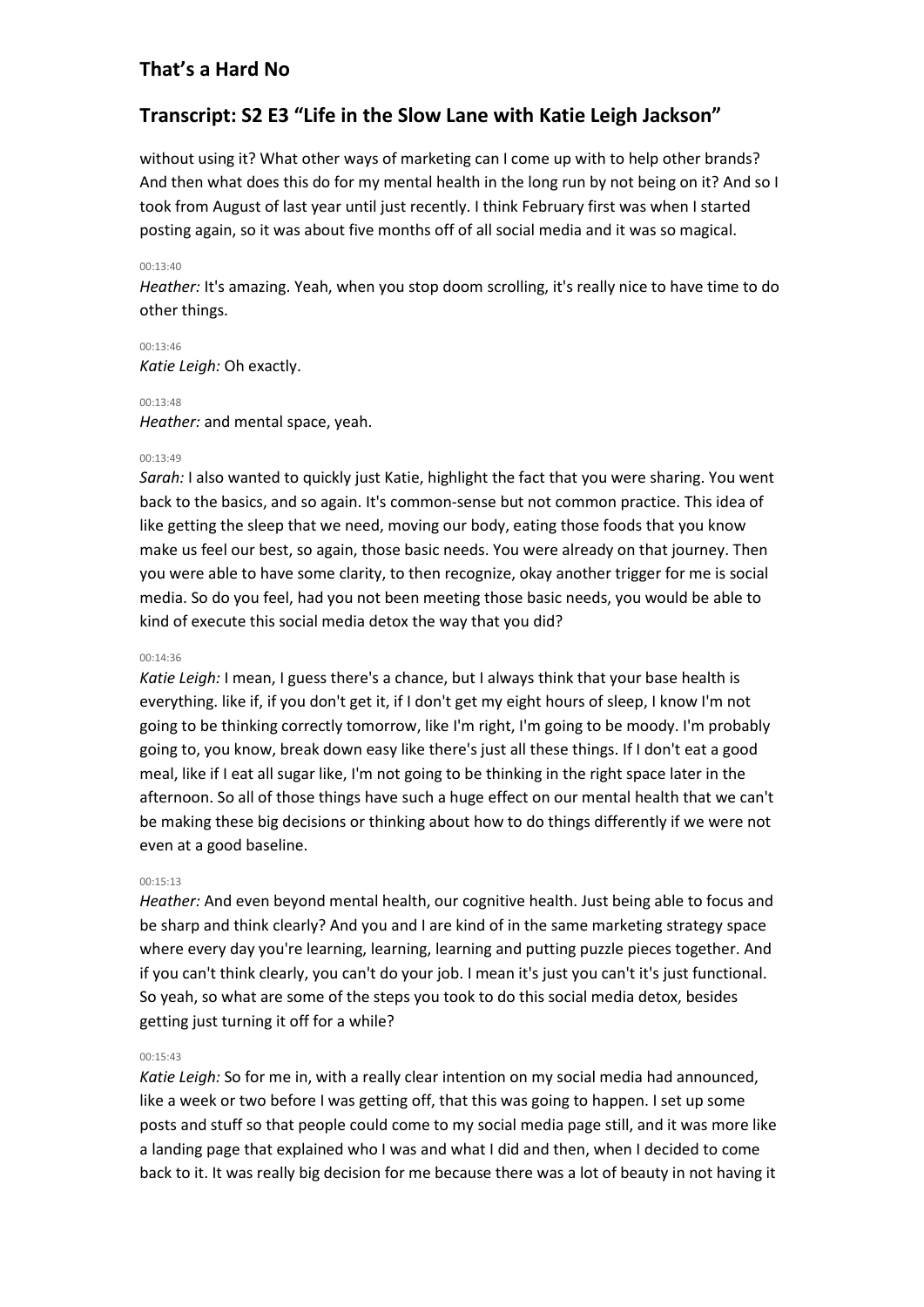# **Transcript: S2 E3 "Life in the Slow Lane with Katie Leigh Jackson"**

without using it? What other ways of marketing can I come up with to help other brands? And then what does this do for my mental health in the long run by not being on it? And so I took from August of last year until just recently. I think February first was when I started posting again, so it was about five months off of all social media and it was so magical.

### 00:13:40

*Heather:* It's amazing. Yeah, when you stop doom scrolling, it's really nice to have time to do other things.

00:13:46 *Katie Leigh:* Oh exactly.

### 00:13:48

*Heather:* and mental space, yeah.

### 00:13:49

*Sarah:* I also wanted to quickly just Katie, highlight the fact that you were sharing. You went back to the basics, and so again. It's common-sense but not common practice. This idea of like getting the sleep that we need, moving our body, eating those foods that you know make us feel our best, so again, those basic needs. You were already on that journey. Then you were able to have some clarity, to then recognize, okay another trigger for me is social media. So do you feel, had you not been meeting those basic needs, you would be able to kind of execute this social media detox the way that you did?

### 00:14:36

*Katie Leigh:* I mean, I guess there's a chance, but I always think that your base health is everything. like if, if you don't get it, if I don't get my eight hours of sleep, I know I'm not going to be thinking correctly tomorrow, like I'm right, I'm going to be moody. I'm probably going to, you know, break down easy like there's just all these things. If I don't eat a good meal, like if I eat all sugar like, I'm not going to be thinking in the right space later in the afternoon. So all of those things have such a huge effect on our mental health that we can't be making these big decisions or thinking about how to do things differently if we were not even at a good baseline.

# $00.15.13$

*Heather:* And even beyond mental health, our cognitive health. Just being able to focus and be sharp and think clearly? And you and I are kind of in the same marketing strategy space where every day you're learning, learning, learning and putting puzzle pieces together. And if you can't think clearly, you can't do your job. I mean it's just you can't it's just functional. So yeah, so what are some of the steps you took to do this social media detox, besides getting just turning it off for a while?

# 00:15:43

*Katie Leigh:* So for me in, with a really clear intention on my social media had announced, like a week or two before I was getting off, that this was going to happen. I set up some posts and stuff so that people could come to my social media page still, and it was more like a landing page that explained who I was and what I did and then, when I decided to come back to it. It was really big decision for me because there was a lot of beauty in not having it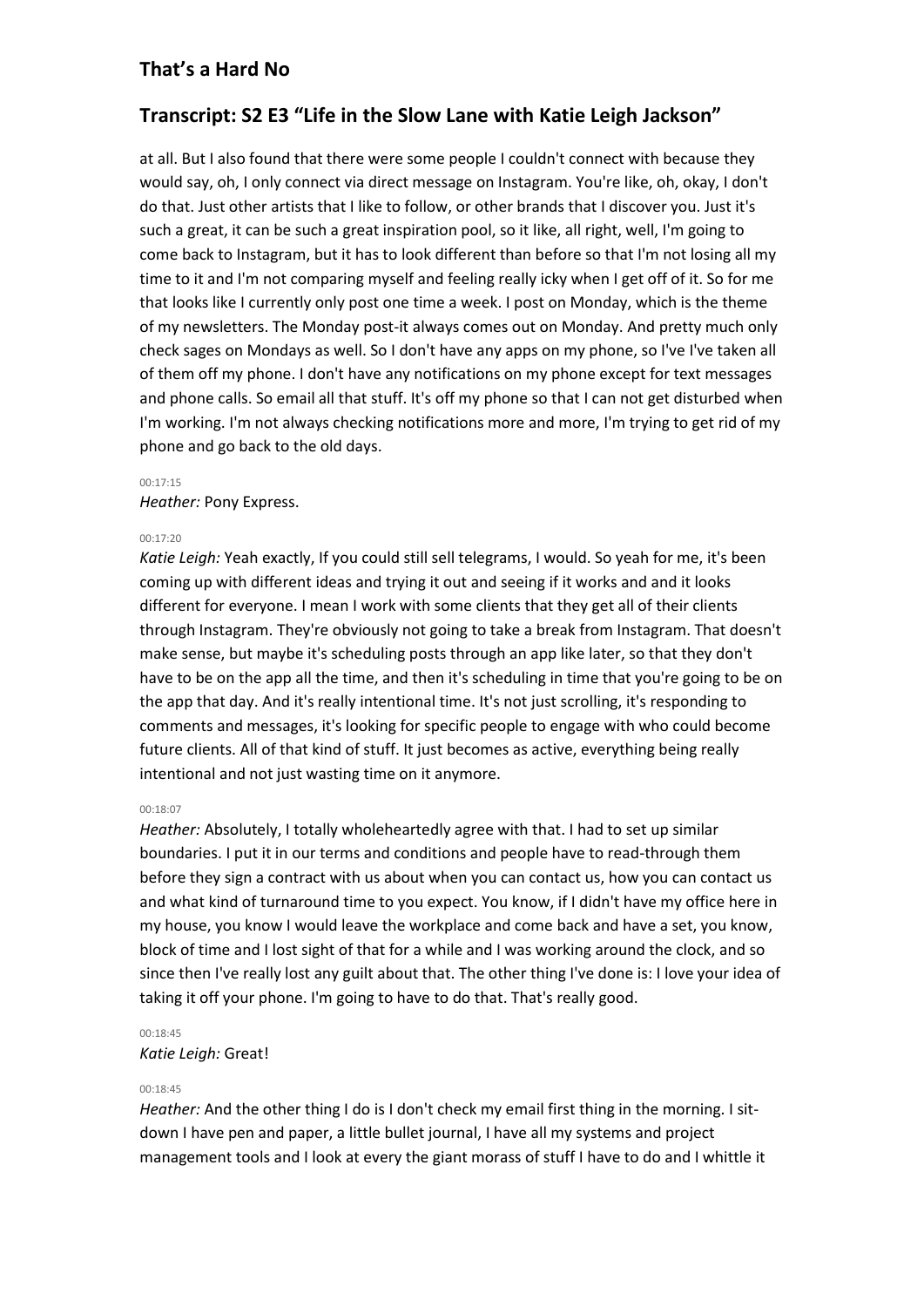# **Transcript: S2 E3 "Life in the Slow Lane with Katie Leigh Jackson"**

at all. But I also found that there were some people I couldn't connect with because they would say, oh, I only connect via direct message on Instagram. You're like, oh, okay, I don't do that. Just other artists that I like to follow, or other brands that I discover you. Just it's such a great, it can be such a great inspiration pool, so it like, all right, well, I'm going to come back to Instagram, but it has to look different than before so that I'm not losing all my time to it and I'm not comparing myself and feeling really icky when I get off of it. So for me that looks like I currently only post one time a week. I post on Monday, which is the theme of my newsletters. The Monday post-it always comes out on Monday. And pretty much only check sages on Mondays as well. So I don't have any apps on my phone, so I've I've taken all of them off my phone. I don't have any notifications on my phone except for text messages and phone calls. So email all that stuff. It's off my phone so that I can not get disturbed when I'm working. I'm not always checking notifications more and more, I'm trying to get rid of my phone and go back to the old days.

#### 00:17:15

*Heather:* Pony Express.

#### 00:17:20

*Katie Leigh:* Yeah exactly, If you could still sell telegrams, I would. So yeah for me, it's been coming up with different ideas and trying it out and seeing if it works and and it looks different for everyone. I mean I work with some clients that they get all of their clients through Instagram. They're obviously not going to take a break from Instagram. That doesn't make sense, but maybe it's scheduling posts through an app like later, so that they don't have to be on the app all the time, and then it's scheduling in time that you're going to be on the app that day. And it's really intentional time. It's not just scrolling, it's responding to comments and messages, it's looking for specific people to engage with who could become future clients. All of that kind of stuff. It just becomes as active, everything being really intentional and not just wasting time on it anymore.

#### 00:18:07

*Heather:* Absolutely, I totally wholeheartedly agree with that. I had to set up similar boundaries. I put it in our terms and conditions and people have to read-through them before they sign a contract with us about when you can contact us, how you can contact us and what kind of turnaround time to you expect. You know, if I didn't have my office here in my house, you know I would leave the workplace and come back and have a set, you know, block of time and I lost sight of that for a while and I was working around the clock, and so since then I've really lost any guilt about that. The other thing I've done is: I love your idea of taking it off your phone. I'm going to have to do that. That's really good.

### 00:18:45

*Katie Leigh:* Great!

### 00:18:45

*Heather:* And the other thing I do is I don't check my email first thing in the morning. I sitdown I have pen and paper, a little bullet journal, I have all my systems and project management tools and I look at every the giant morass of stuff I have to do and I whittle it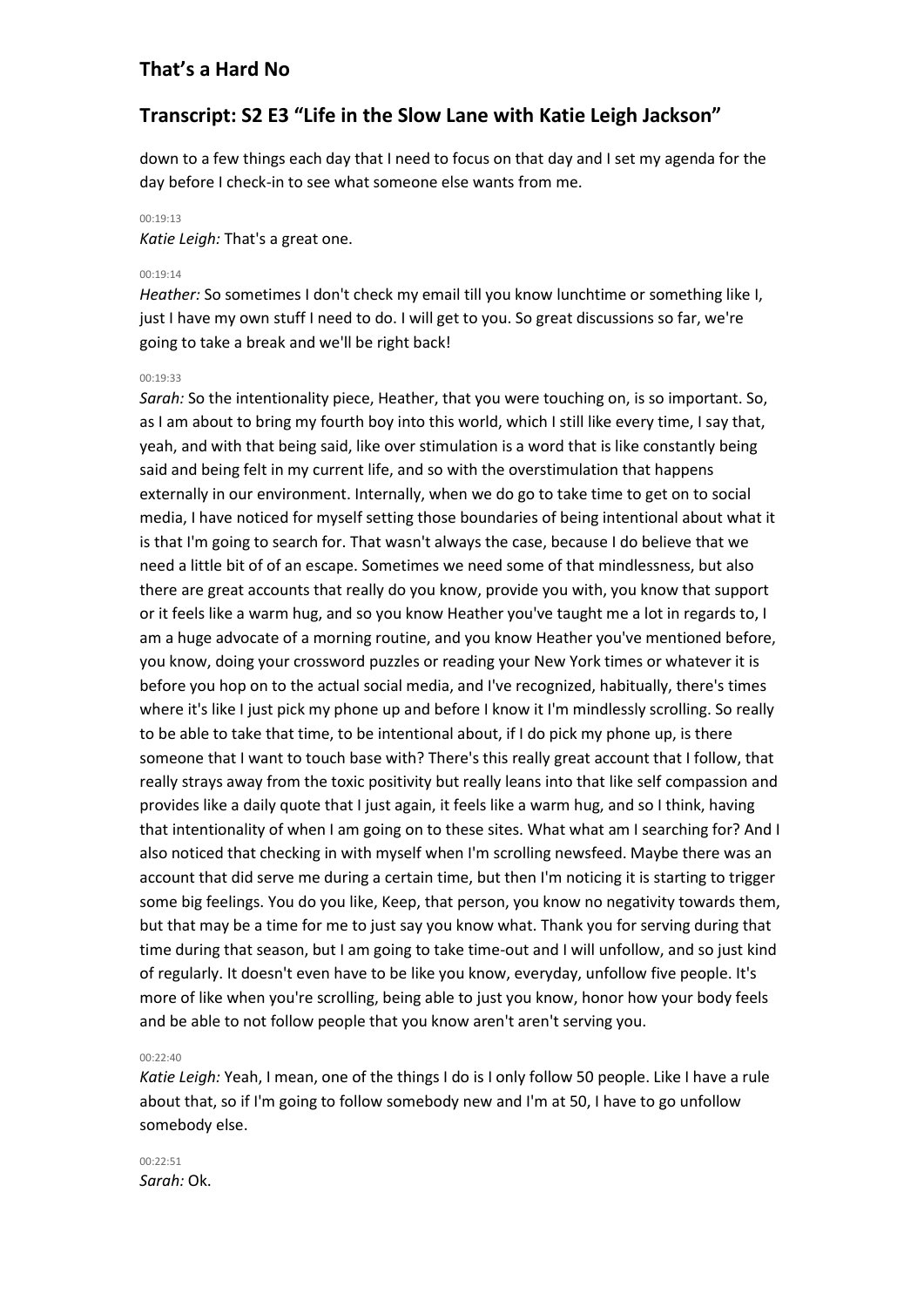# **Transcript: S2 E3 "Life in the Slow Lane with Katie Leigh Jackson"**

down to a few things each day that I need to focus on that day and I set my agenda for the day before I check-in to see what someone else wants from me.

### 00:19:13

*Katie Leigh:* That's a great one.

### 00:19:14

*Heather:* So sometimes I don't check my email till you know lunchtime or something like I, just I have my own stuff I need to do. I will get to you. So great discussions so far, we're going to take a break and we'll be right back!

### 00:19:33

*Sarah:* So the intentionality piece, Heather, that you were touching on, is so important. So, as I am about to bring my fourth boy into this world, which I still like every time, I say that, yeah, and with that being said, like over stimulation is a word that is like constantly being said and being felt in my current life, and so with the overstimulation that happens externally in our environment. Internally, when we do go to take time to get on to social media, I have noticed for myself setting those boundaries of being intentional about what it is that I'm going to search for. That wasn't always the case, because I do believe that we need a little bit of of an escape. Sometimes we need some of that mindlessness, but also there are great accounts that really do you know, provide you with, you know that support or it feels like a warm hug, and so you know Heather you've taught me a lot in regards to, I am a huge advocate of a morning routine, and you know Heather you've mentioned before, you know, doing your crossword puzzles or reading your New York times or whatever it is before you hop on to the actual social media, and I've recognized, habitually, there's times where it's like I just pick my phone up and before I know it I'm mindlessly scrolling. So really to be able to take that time, to be intentional about, if I do pick my phone up, is there someone that I want to touch base with? There's this really great account that I follow, that really strays away from the toxic positivity but really leans into that like self compassion and provides like a daily quote that I just again, it feels like a warm hug, and so I think, having that intentionality of when I am going on to these sites. What what am I searching for? And I also noticed that checking in with myself when I'm scrolling newsfeed. Maybe there was an account that did serve me during a certain time, but then I'm noticing it is starting to trigger some big feelings. You do you like, Keep, that person, you know no negativity towards them, but that may be a time for me to just say you know what. Thank you for serving during that time during that season, but I am going to take time-out and I will unfollow, and so just kind of regularly. It doesn't even have to be like you know, everyday, unfollow five people. It's more of like when you're scrolling, being able to just you know, honor how your body feels and be able to not follow people that you know aren't aren't serving you.

#### 00:22:40

*Katie Leigh:* Yeah, I mean, one of the things I do is I only follow 50 people. Like I have a rule about that, so if I'm going to follow somebody new and I'm at 50, I have to go unfollow somebody else.

00:22:51 *Sarah:* Ok.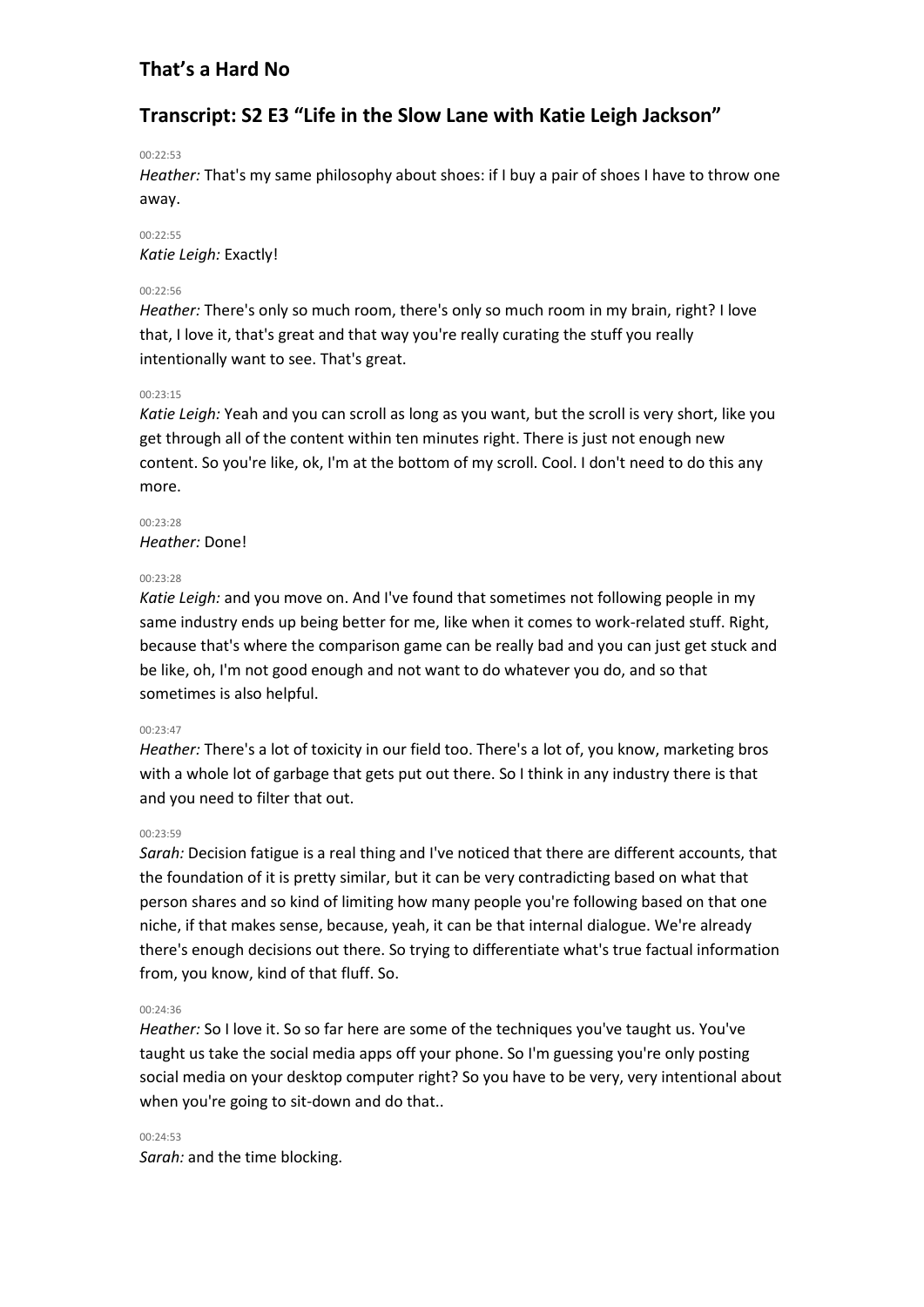# **Transcript: S2 E3 "Life in the Slow Lane with Katie Leigh Jackson"**

### 00:22:53

*Heather:* That's my same philosophy about shoes: if I buy a pair of shoes I have to throw one away.

00:22:55 *Katie Leigh:* Exactly!

### $00.22.56$

*Heather:* There's only so much room, there's only so much room in my brain, right? I love that, I love it, that's great and that way you're really curating the stuff you really intentionally want to see. That's great.

# 00:23:15

*Katie Leigh:* Yeah and you can scroll as long as you want, but the scroll is very short, like you get through all of the content within ten minutes right. There is just not enough new content. So you're like, ok, I'm at the bottom of my scroll. Cool. I don't need to do this any more.

00:23:28 *Heather:* Done!

### $00.23.28$

*Katie Leigh:* and you move on. And I've found that sometimes not following people in my same industry ends up being better for me, like when it comes to work-related stuff. Right, because that's where the comparison game can be really bad and you can just get stuck and be like, oh, I'm not good enough and not want to do whatever you do, and so that sometimes is also helpful.

### 00:23:47

*Heather:* There's a lot of toxicity in our field too. There's a lot of, you know, marketing bros with a whole lot of garbage that gets put out there. So I think in any industry there is that and you need to filter that out.

### $00.23.59$

*Sarah:* Decision fatigue is a real thing and I've noticed that there are different accounts, that the foundation of it is pretty similar, but it can be very contradicting based on what that person shares and so kind of limiting how many people you're following based on that one niche, if that makes sense, because, yeah, it can be that internal dialogue. We're already there's enough decisions out there. So trying to differentiate what's true factual information from, you know, kind of that fluff. So.

# 00:24:36

*Heather:* So I love it. So so far here are some of the techniques you've taught us. You've taught us take the social media apps off your phone. So I'm guessing you're only posting social media on your desktop computer right? So you have to be very, very intentional about when you're going to sit-down and do that..

00:24:53 *Sarah:* and the time blocking.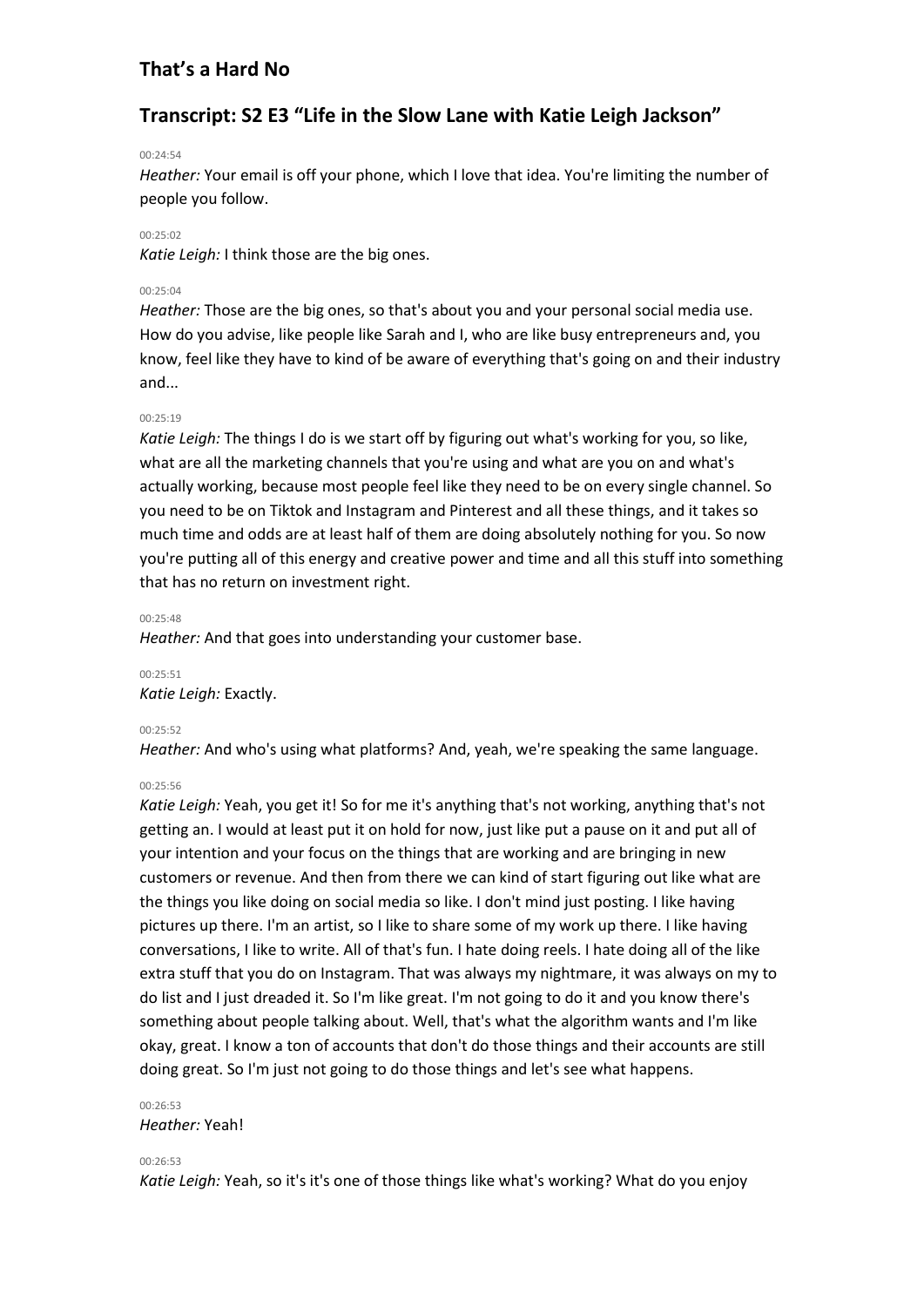# **Transcript: S2 E3 "Life in the Slow Lane with Katie Leigh Jackson"**

#### 00:24:54

*Heather:* Your email is off your phone, which I love that idea. You're limiting the number of people you follow.

#### 00:25:02

*Katie Leigh:* I think those are the big ones.

#### $00.25:04$

*Heather:* Those are the big ones, so that's about you and your personal social media use. How do you advise, like people like Sarah and I, who are like busy entrepreneurs and, you know, feel like they have to kind of be aware of everything that's going on and their industry and...

#### 00:25:19

*Katie Leigh:* The things I do is we start off by figuring out what's working for you, so like, what are all the marketing channels that you're using and what are you on and what's actually working, because most people feel like they need to be on every single channel. So you need to be on Tiktok and Instagram and Pinterest and all these things, and it takes so much time and odds are at least half of them are doing absolutely nothing for you. So now you're putting all of this energy and creative power and time and all this stuff into something that has no return on investment right.

### 00:25:48

*Heather:* And that goes into understanding your customer base.

00:25:51

*Katie Leigh:* Exactly.

### 00:25:52

*Heather:* And who's using what platforms? And, yeah, we're speaking the same language.

### 00:25:56

*Katie Leigh:* Yeah, you get it! So for me it's anything that's not working, anything that's not getting an. I would at least put it on hold for now, just like put a pause on it and put all of your intention and your focus on the things that are working and are bringing in new customers or revenue. And then from there we can kind of start figuring out like what are the things you like doing on social media so like. I don't mind just posting. I like having pictures up there. I'm an artist, so I like to share some of my work up there. I like having conversations, I like to write. All of that's fun. I hate doing reels. I hate doing all of the like extra stuff that you do on Instagram. That was always my nightmare, it was always on my to do list and I just dreaded it. So I'm like great. I'm not going to do it and you know there's something about people talking about. Well, that's what the algorithm wants and I'm like okay, great. I know a ton of accounts that don't do those things and their accounts are still doing great. So I'm just not going to do those things and let's see what happens.

# 00:26:53

### *Heather:* Yeah!

#### $00.26.53$

*Katie Leigh:* Yeah, so it's it's one of those things like what's working? What do you enjoy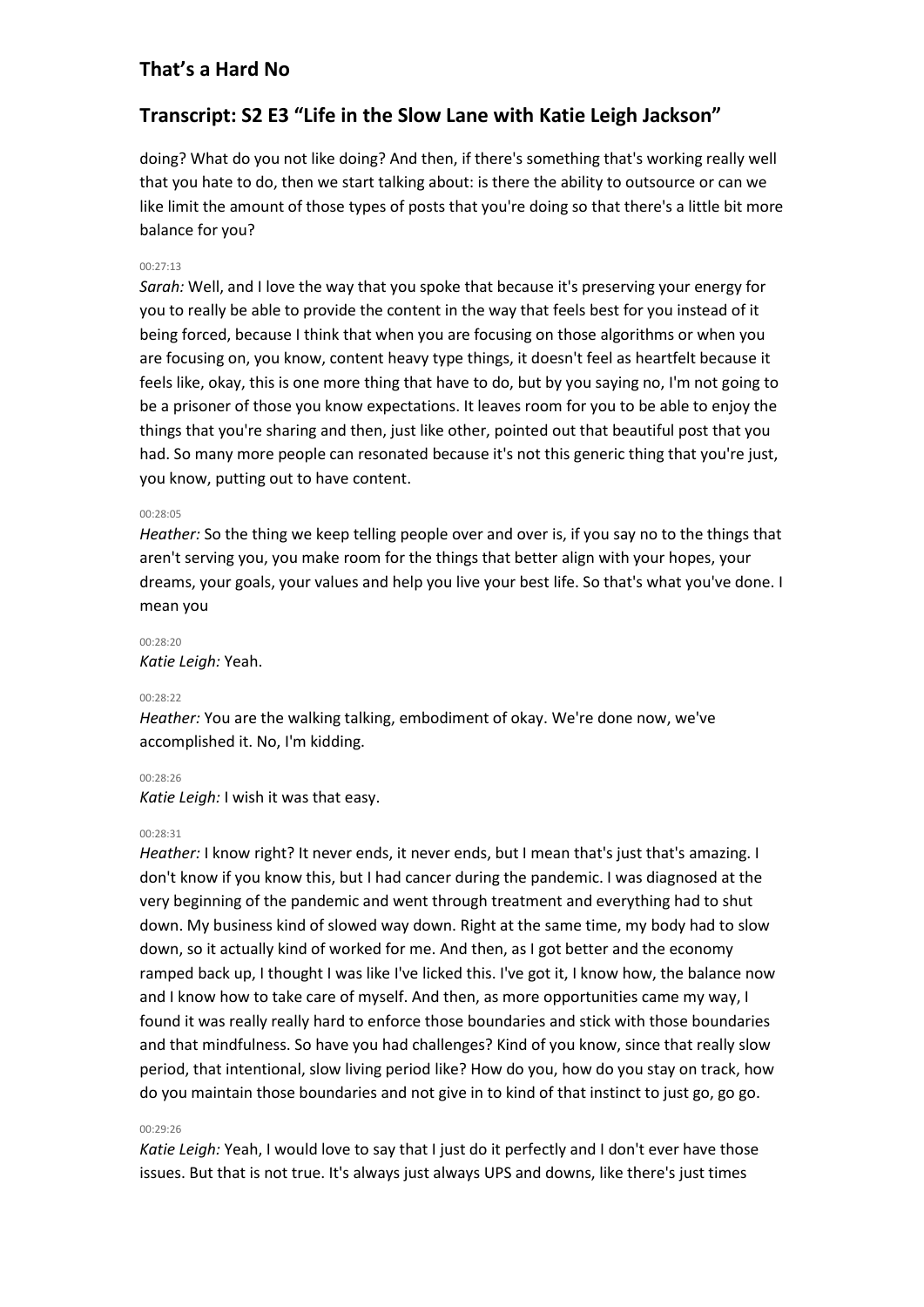# **Transcript: S2 E3 "Life in the Slow Lane with Katie Leigh Jackson"**

doing? What do you not like doing? And then, if there's something that's working really well that you hate to do, then we start talking about: is there the ability to outsource or can we like limit the amount of those types of posts that you're doing so that there's a little bit more balance for you?

### 00:27:13

*Sarah:* Well, and I love the way that you spoke that because it's preserving your energy for you to really be able to provide the content in the way that feels best for you instead of it being forced, because I think that when you are focusing on those algorithms or when you are focusing on, you know, content heavy type things, it doesn't feel as heartfelt because it feels like, okay, this is one more thing that have to do, but by you saying no, I'm not going to be a prisoner of those you know expectations. It leaves room for you to be able to enjoy the things that you're sharing and then, just like other, pointed out that beautiful post that you had. So many more people can resonated because it's not this generic thing that you're just, you know, putting out to have content.

#### 00:28:05

*Heather:* So the thing we keep telling people over and over is, if you say no to the things that aren't serving you, you make room for the things that better align with your hopes, your dreams, your goals, your values and help you live your best life. So that's what you've done. I mean you

### 00:28:20

*Katie Leigh:* Yeah.

#### $00.28.22$

*Heather:* You are the walking talking, embodiment of okay. We're done now, we've accomplished it. No, I'm kidding.

#### 00:28:26

*Katie Leigh:* I wish it was that easy.

#### 00:28:31

*Heather:* I know right? It never ends, it never ends, but I mean that's just that's amazing. I don't know if you know this, but I had cancer during the pandemic. I was diagnosed at the very beginning of the pandemic and went through treatment and everything had to shut down. My business kind of slowed way down. Right at the same time, my body had to slow down, so it actually kind of worked for me. And then, as I got better and the economy ramped back up, I thought I was like I've licked this. I've got it, I know how, the balance now and I know how to take care of myself. And then, as more opportunities came my way, I found it was really really hard to enforce those boundaries and stick with those boundaries and that mindfulness. So have you had challenges? Kind of you know, since that really slow period, that intentional, slow living period like? How do you, how do you stay on track, how do you maintain those boundaries and not give in to kind of that instinct to just go, go go.

#### 00:29:26

*Katie Leigh:* Yeah, I would love to say that I just do it perfectly and I don't ever have those issues. But that is not true. It's always just always UPS and downs, like there's just times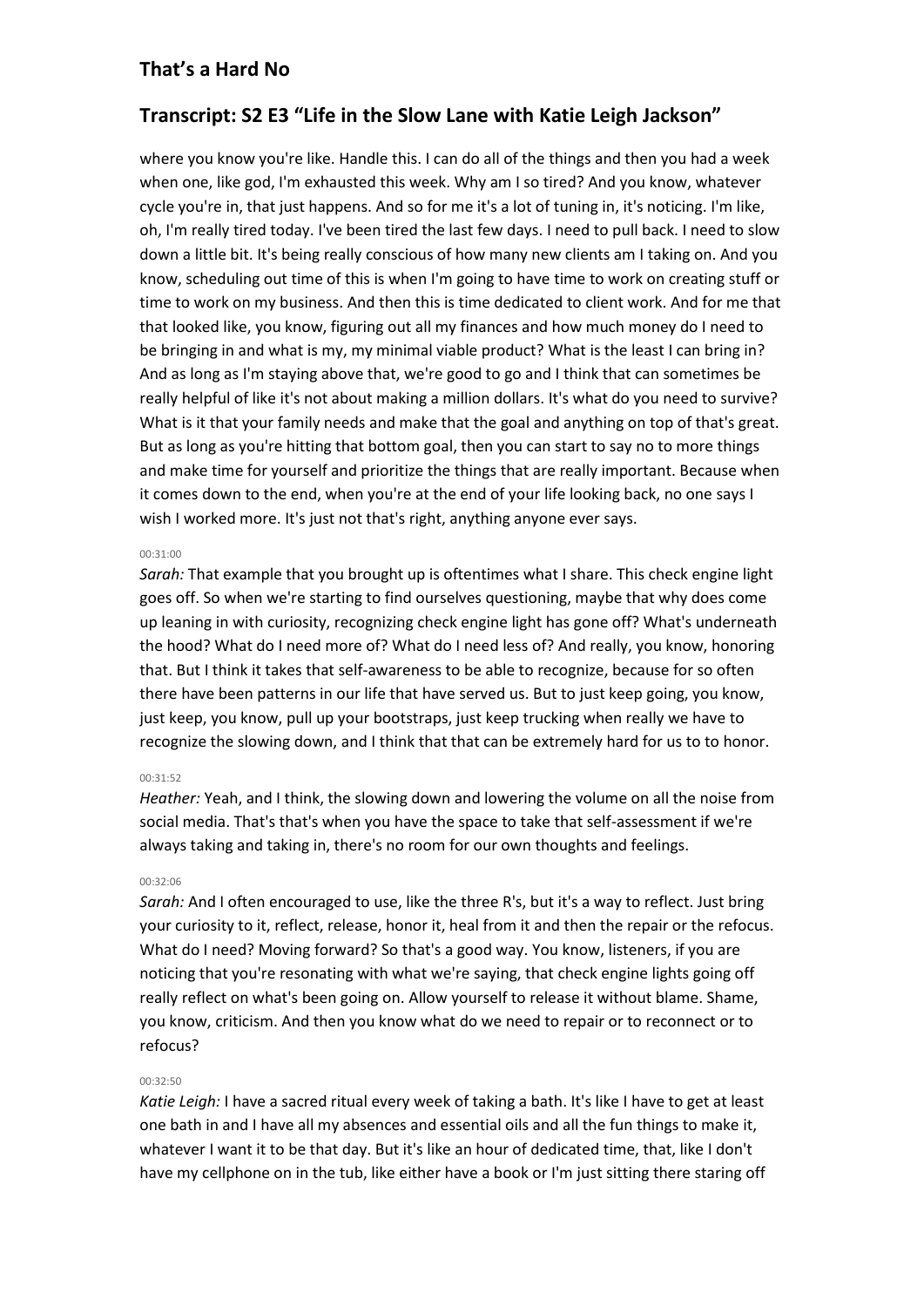# **Transcript: S2 E3 "Life in the Slow Lane with Katie Leigh Jackson"**

where you know you're like. Handle this. I can do all of the things and then you had a week when one, like god, I'm exhausted this week. Why am I so tired? And you know, whatever cycle you're in, that just happens. And so for me it's a lot of tuning in, it's noticing. I'm like, oh, I'm really tired today. I've been tired the last few days. I need to pull back. I need to slow down a little bit. It's being really conscious of how many new clients am I taking on. And you know, scheduling out time of this is when I'm going to have time to work on creating stuff or time to work on my business. And then this is time dedicated to client work. And for me that that looked like, you know, figuring out all my finances and how much money do I need to be bringing in and what is my, my minimal viable product? What is the least I can bring in? And as long as I'm staying above that, we're good to go and I think that can sometimes be really helpful of like it's not about making a million dollars. It's what do you need to survive? What is it that your family needs and make that the goal and anything on top of that's great. But as long as you're hitting that bottom goal, then you can start to say no to more things and make time for yourself and prioritize the things that are really important. Because when it comes down to the end, when you're at the end of your life looking back, no one says I wish I worked more. It's just not that's right, anything anyone ever says.

### 00:31:00

*Sarah:* That example that you brought up is oftentimes what I share. This check engine light goes off. So when we're starting to find ourselves questioning, maybe that why does come up leaning in with curiosity, recognizing check engine light has gone off? What's underneath the hood? What do I need more of? What do I need less of? And really, you know, honoring that. But I think it takes that self-awareness to be able to recognize, because for so often there have been patterns in our life that have served us. But to just keep going, you know, just keep, you know, pull up your bootstraps, just keep trucking when really we have to recognize the slowing down, and I think that that can be extremely hard for us to to honor.

### $00.31.52$

*Heather:* Yeah, and I think, the slowing down and lowering the volume on all the noise from social media. That's that's when you have the space to take that self-assessment if we're always taking and taking in, there's no room for our own thoughts and feelings.

### 00:32:06

*Sarah:* And I often encouraged to use, like the three R's, but it's a way to reflect. Just bring your curiosity to it, reflect, release, honor it, heal from it and then the repair or the refocus. What do I need? Moving forward? So that's a good way. You know, listeners, if you are noticing that you're resonating with what we're saying, that check engine lights going off really reflect on what's been going on. Allow yourself to release it without blame. Shame, you know, criticism. And then you know what do we need to repair or to reconnect or to refocus?

### 00:32:50

*Katie Leigh:* I have a sacred ritual every week of taking a bath. It's like I have to get at least one bath in and I have all my absences and essential oils and all the fun things to make it, whatever I want it to be that day. But it's like an hour of dedicated time, that, like I don't have my cellphone on in the tub, like either have a book or I'm just sitting there staring off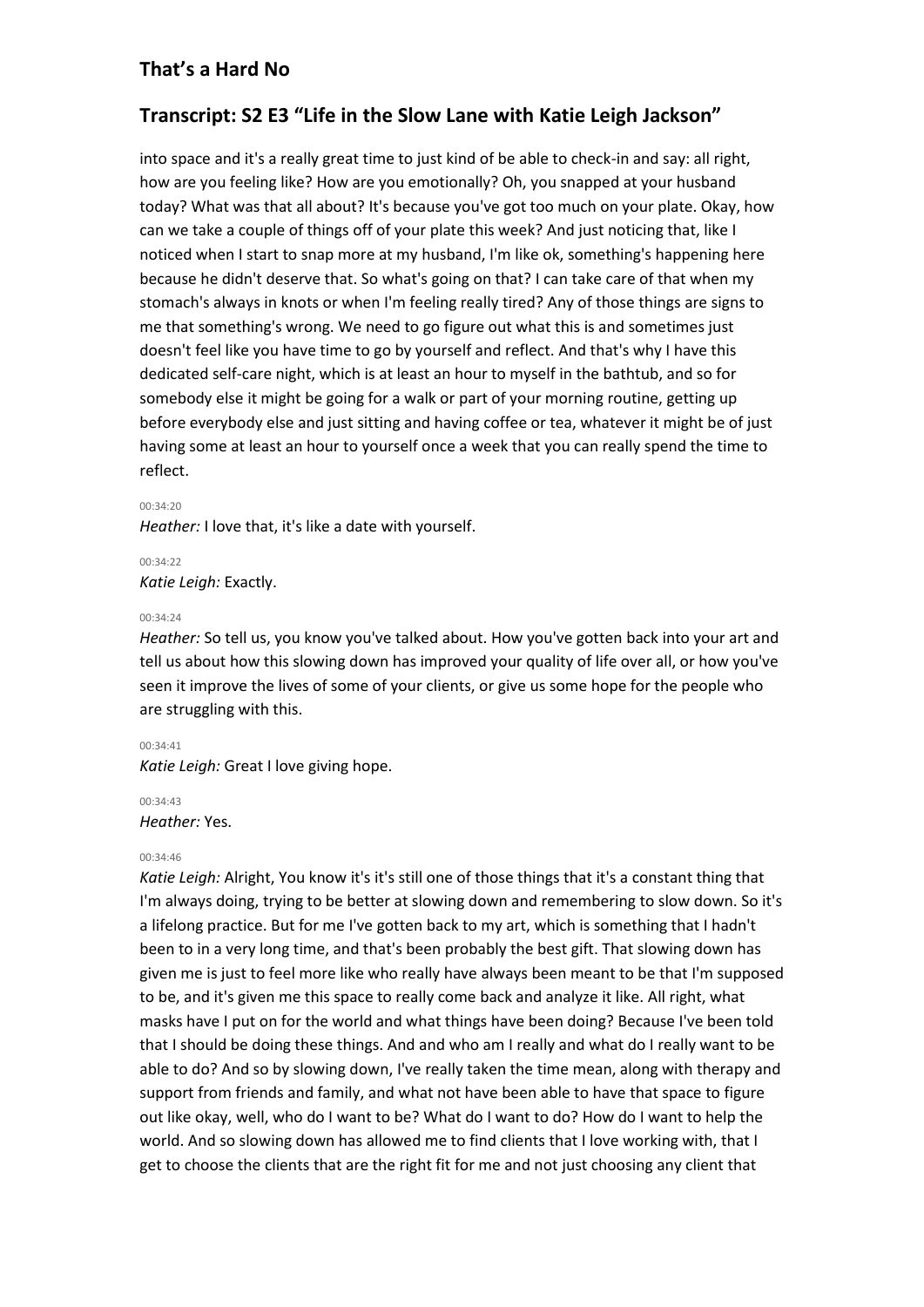# **Transcript: S2 E3 "Life in the Slow Lane with Katie Leigh Jackson"**

into space and it's a really great time to just kind of be able to check-in and say: all right, how are you feeling like? How are you emotionally? Oh, you snapped at your husband today? What was that all about? It's because you've got too much on your plate. Okay, how can we take a couple of things off of your plate this week? And just noticing that, like I noticed when I start to snap more at my husband, I'm like ok, something's happening here because he didn't deserve that. So what's going on that? I can take care of that when my stomach's always in knots or when I'm feeling really tired? Any of those things are signs to me that something's wrong. We need to go figure out what this is and sometimes just doesn't feel like you have time to go by yourself and reflect. And that's why I have this dedicated self-care night, which is at least an hour to myself in the bathtub, and so for somebody else it might be going for a walk or part of your morning routine, getting up before everybody else and just sitting and having coffee or tea, whatever it might be of just having some at least an hour to yourself once a week that you can really spend the time to reflect.

#### 00:34:20

*Heather:* I love that, it's like a date with yourself.

# 00:34:22 *Katie Leigh:* Exactly.

#### 00:34:24

*Heather:* So tell us, you know you've talked about. How you've gotten back into your art and tell us about how this slowing down has improved your quality of life over all, or how you've seen it improve the lives of some of your clients, or give us some hope for the people who are struggling with this.

### 00:34:41

*Katie Leigh:* Great I love giving hope.

# 00:34:43

*Heather:* Yes.

### 00:34:46

*Katie Leigh:* Alright, You know it's it's still one of those things that it's a constant thing that I'm always doing, trying to be better at slowing down and remembering to slow down. So it's a lifelong practice. But for me I've gotten back to my art, which is something that I hadn't been to in a very long time, and that's been probably the best gift. That slowing down has given me is just to feel more like who really have always been meant to be that I'm supposed to be, and it's given me this space to really come back and analyze it like. All right, what masks have I put on for the world and what things have been doing? Because I've been told that I should be doing these things. And and who am I really and what do I really want to be able to do? And so by slowing down, I've really taken the time mean, along with therapy and support from friends and family, and what not have been able to have that space to figure out like okay, well, who do I want to be? What do I want to do? How do I want to help the world. And so slowing down has allowed me to find clients that I love working with, that I get to choose the clients that are the right fit for me and not just choosing any client that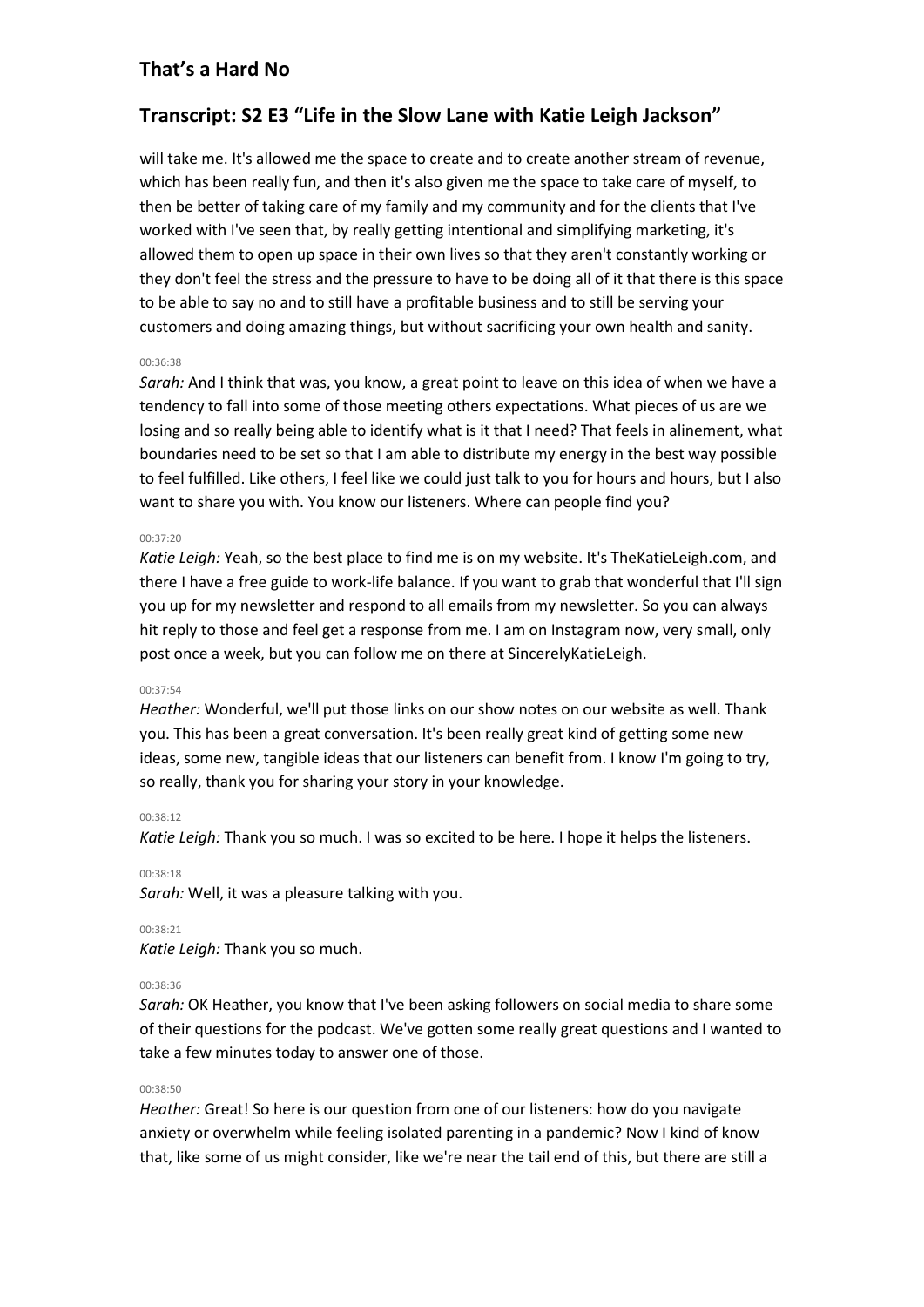# **Transcript: S2 E3 "Life in the Slow Lane with Katie Leigh Jackson"**

will take me. It's allowed me the space to create and to create another stream of revenue, which has been really fun, and then it's also given me the space to take care of myself, to then be better of taking care of my family and my community and for the clients that I've worked with I've seen that, by really getting intentional and simplifying marketing, it's allowed them to open up space in their own lives so that they aren't constantly working or they don't feel the stress and the pressure to have to be doing all of it that there is this space to be able to say no and to still have a profitable business and to still be serving your customers and doing amazing things, but without sacrificing your own health and sanity.

### 00:36:38

*Sarah:* And I think that was, you know, a great point to leave on this idea of when we have a tendency to fall into some of those meeting others expectations. What pieces of us are we losing and so really being able to identify what is it that I need? That feels in alinement, what boundaries need to be set so that I am able to distribute my energy in the best way possible to feel fulfilled. Like others, I feel like we could just talk to you for hours and hours, but I also want to share you with. You know our listeners. Where can people find you?

#### 00:37:20

*Katie Leigh:* Yeah, so the best place to find me is on my website. It's TheKatieLeigh.com, and there I have a free guide to work-life balance. If you want to grab that wonderful that I'll sign you up for my newsletter and respond to all emails from my newsletter. So you can always hit reply to those and feel get a response from me. I am on Instagram now, very small, only post once a week, but you can follow me on there at SincerelyKatieLeigh.

#### 00:37:54

*Heather:* Wonderful, we'll put those links on our show notes on our website as well. Thank you. This has been a great conversation. It's been really great kind of getting some new ideas, some new, tangible ideas that our listeners can benefit from. I know I'm going to try, so really, thank you for sharing your story in your knowledge.

### 00:38:12

*Katie Leigh:* Thank you so much. I was so excited to be here. I hope it helps the listeners.

00:38:18

*Sarah:* Well, it was a pleasure talking with you.

00:38:21

*Katie Leigh:* Thank you so much.

### 00:38:36

*Sarah:* OK Heather, you know that I've been asking followers on social media to share some of their questions for the podcast. We've gotten some really great questions and I wanted to take a few minutes today to answer one of those.

### 00:38:50

*Heather:* Great! So here is our question from one of our listeners: how do you navigate anxiety or overwhelm while feeling isolated parenting in a pandemic? Now I kind of know that, like some of us might consider, like we're near the tail end of this, but there are still a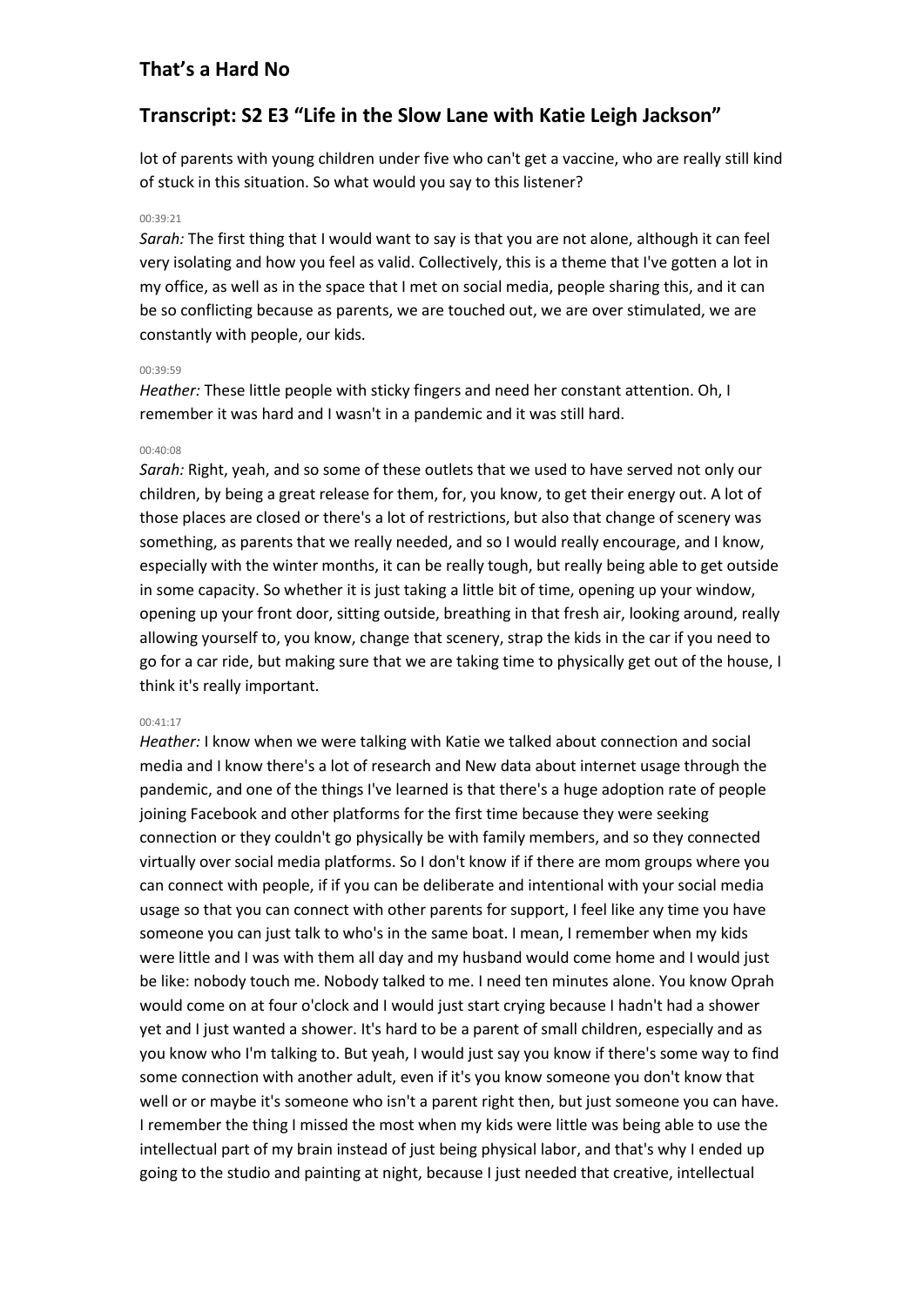# **Transcript: S2 E3 "Life in the Slow Lane with Katie Leigh Jackson"**

lot of parents with young children under five who can't get a vaccine, who are really still kind of stuck in this situation. So what would you say to this listener?

# 00:39:21

*Sarah:* The first thing that I would want to say is that you are not alone, although it can feel very isolating and how you feel as valid. Collectively, this is a theme that I've gotten a lot in my office, as well as in the space that I met on social media, people sharing this, and it can be so conflicting because as parents, we are touched out, we are over stimulated, we are constantly with people, our kids.

### 00:39:59

*Heather:* These little people with sticky fingers and need her constant attention. Oh, I remember it was hard and I wasn't in a pandemic and it was still hard.

### 00:40:08

*Sarah:* Right, yeah, and so some of these outlets that we used to have served not only our children, by being a great release for them, for, you know, to get their energy out. A lot of those places are closed or there's a lot of restrictions, but also that change of scenery was something, as parents that we really needed, and so I would really encourage, and I know, especially with the winter months, it can be really tough, but really being able to get outside in some capacity. So whether it is just taking a little bit of time, opening up your window, opening up your front door, sitting outside, breathing in that fresh air, looking around, really allowing yourself to, you know, change that scenery, strap the kids in the car if you need to go for a car ride, but making sure that we are taking time to physically get out of the house, I think it's really important.

### 00:41:17

*Heather:* I know when we were talking with Katie we talked about connection and social media and I know there's a lot of research and New data about internet usage through the pandemic, and one of the things I've learned is that there's a huge adoption rate of people joining Facebook and other platforms for the first time because they were seeking connection or they couldn't go physically be with family members, and so they connected virtually over social media platforms. So I don't know if if there are mom groups where you can connect with people, if if you can be deliberate and intentional with your social media usage so that you can connect with other parents for support, I feel like any time you have someone you can just talk to who's in the same boat. I mean, I remember when my kids were little and I was with them all day and my husband would come home and I would just be like: nobody touch me. Nobody talked to me. I need ten minutes alone. You know Oprah would come on at four o'clock and I would just start crying because I hadn't had a shower yet and I just wanted a shower. It's hard to be a parent of small children, especially and as you know who I'm talking to. But yeah, I would just say you know if there's some way to find some connection with another adult, even if it's you know someone you don't know that well or or maybe it's someone who isn't a parent right then, but just someone you can have. I remember the thing I missed the most when my kids were little was being able to use the intellectual part of my brain instead of just being physical labor, and that's why I ended up going to the studio and painting at night, because I just needed that creative, intellectual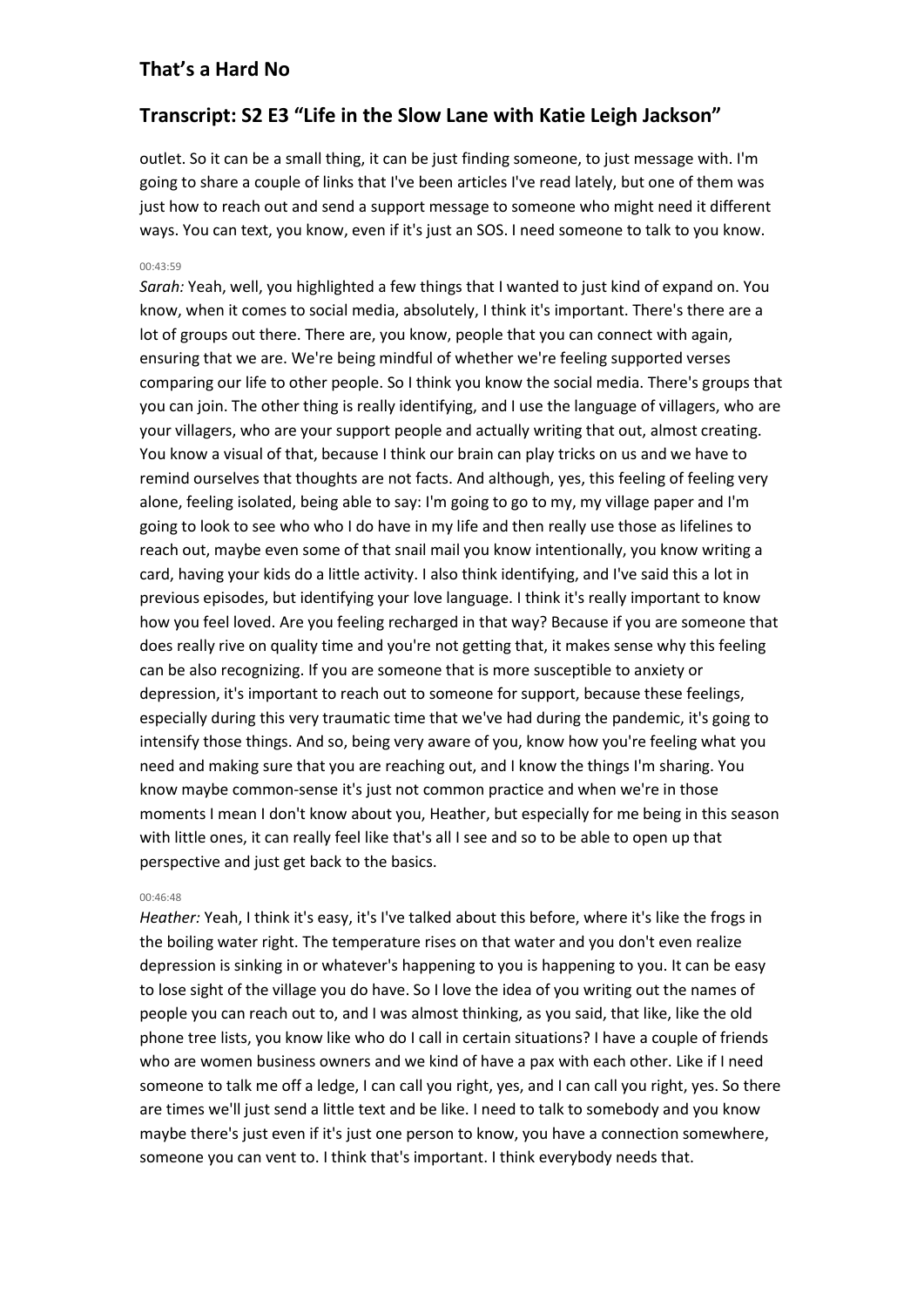# **Transcript: S2 E3 "Life in the Slow Lane with Katie Leigh Jackson"**

outlet. So it can be a small thing, it can be just finding someone, to just message with. I'm going to share a couple of links that I've been articles I've read lately, but one of them was just how to reach out and send a support message to someone who might need it different ways. You can text, you know, even if it's just an SOS. I need someone to talk to you know.

### 00:43:59

*Sarah:* Yeah, well, you highlighted a few things that I wanted to just kind of expand on. You know, when it comes to social media, absolutely, I think it's important. There's there are a lot of groups out there. There are, you know, people that you can connect with again, ensuring that we are. We're being mindful of whether we're feeling supported verses comparing our life to other people. So I think you know the social media. There's groups that you can join. The other thing is really identifying, and I use the language of villagers, who are your villagers, who are your support people and actually writing that out, almost creating. You know a visual of that, because I think our brain can play tricks on us and we have to remind ourselves that thoughts are not facts. And although, yes, this feeling of feeling very alone, feeling isolated, being able to say: I'm going to go to my, my village paper and I'm going to look to see who who I do have in my life and then really use those as lifelines to reach out, maybe even some of that snail mail you know intentionally, you know writing a card, having your kids do a little activity. I also think identifying, and I've said this a lot in previous episodes, but identifying your love language. I think it's really important to know how you feel loved. Are you feeling recharged in that way? Because if you are someone that does really rive on quality time and you're not getting that, it makes sense why this feeling can be also recognizing. If you are someone that is more susceptible to anxiety or depression, it's important to reach out to someone for support, because these feelings, especially during this very traumatic time that we've had during the pandemic, it's going to intensify those things. And so, being very aware of you, know how you're feeling what you need and making sure that you are reaching out, and I know the things I'm sharing. You know maybe common-sense it's just not common practice and when we're in those moments I mean I don't know about you, Heather, but especially for me being in this season with little ones, it can really feel like that's all I see and so to be able to open up that perspective and just get back to the basics.

### $00.46.48$

*Heather:* Yeah, I think it's easy, it's I've talked about this before, where it's like the frogs in the boiling water right. The temperature rises on that water and you don't even realize depression is sinking in or whatever's happening to you is happening to you. It can be easy to lose sight of the village you do have. So I love the idea of you writing out the names of people you can reach out to, and I was almost thinking, as you said, that like, like the old phone tree lists, you know like who do I call in certain situations? I have a couple of friends who are women business owners and we kind of have a pax with each other. Like if I need someone to talk me off a ledge, I can call you right, yes, and I can call you right, yes. So there are times we'll just send a little text and be like. I need to talk to somebody and you know maybe there's just even if it's just one person to know, you have a connection somewhere, someone you can vent to. I think that's important. I think everybody needs that.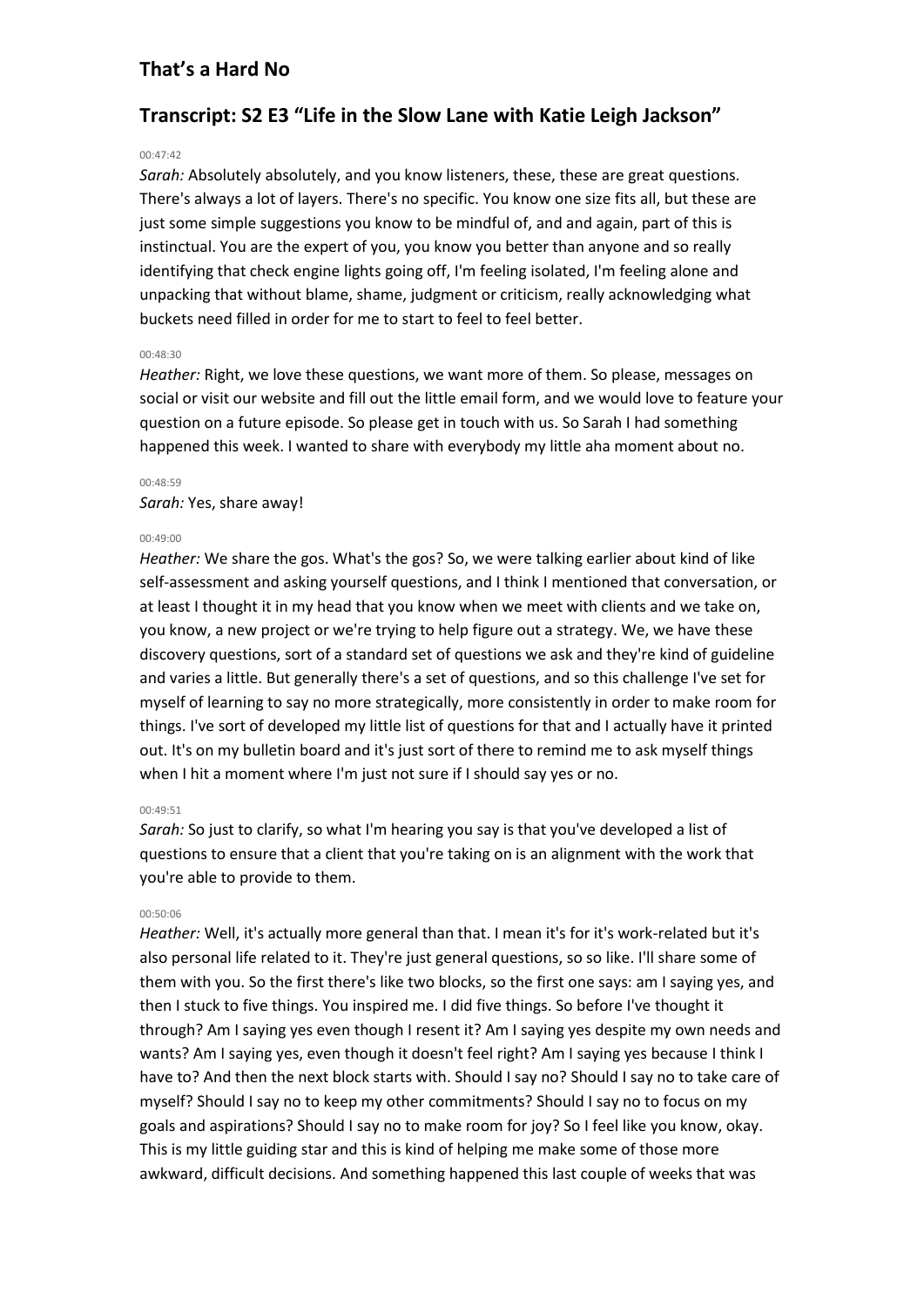# **Transcript: S2 E3 "Life in the Slow Lane with Katie Leigh Jackson"**

#### 00:47:42

*Sarah:* Absolutely absolutely, and you know listeners, these, these are great questions. There's always a lot of layers. There's no specific. You know one size fits all, but these are just some simple suggestions you know to be mindful of, and and again, part of this is instinctual. You are the expert of you, you know you better than anyone and so really identifying that check engine lights going off, I'm feeling isolated, I'm feeling alone and unpacking that without blame, shame, judgment or criticism, really acknowledging what buckets need filled in order for me to start to feel to feel better.

### 00:48:30

*Heather:* Right, we love these questions, we want more of them. So please, messages on social or visit our website and fill out the little email form, and we would love to feature your question on a future episode. So please get in touch with us. So Sarah I had something happened this week. I wanted to share with everybody my little aha moment about no.

#### 00:48:59

#### *Sarah:* Yes, share away!

#### 00:49:00

*Heather:* We share the gos. What's the gos? So, we were talking earlier about kind of like self-assessment and asking yourself questions, and I think I mentioned that conversation, or at least I thought it in my head that you know when we meet with clients and we take on, you know, a new project or we're trying to help figure out a strategy. We, we have these discovery questions, sort of a standard set of questions we ask and they're kind of guideline and varies a little. But generally there's a set of questions, and so this challenge I've set for myself of learning to say no more strategically, more consistently in order to make room for things. I've sort of developed my little list of questions for that and I actually have it printed out. It's on my bulletin board and it's just sort of there to remind me to ask myself things when I hit a moment where I'm just not sure if I should say yes or no.

#### 00:49:51

*Sarah:* So just to clarify, so what I'm hearing you say is that you've developed a list of questions to ensure that a client that you're taking on is an alignment with the work that you're able to provide to them.

#### 00:50:06

*Heather:* Well, it's actually more general than that. I mean it's for it's work-related but it's also personal life related to it. They're just general questions, so so like. I'll share some of them with you. So the first there's like two blocks, so the first one says: am I saying yes, and then I stuck to five things. You inspired me. I did five things. So before I've thought it through? Am I saying yes even though I resent it? Am I saying yes despite my own needs and wants? Am I saying yes, even though it doesn't feel right? Am I saying yes because I think I have to? And then the next block starts with. Should I say no? Should I say no to take care of myself? Should I say no to keep my other commitments? Should I say no to focus on my goals and aspirations? Should I say no to make room for joy? So I feel like you know, okay. This is my little guiding star and this is kind of helping me make some of those more awkward, difficult decisions. And something happened this last couple of weeks that was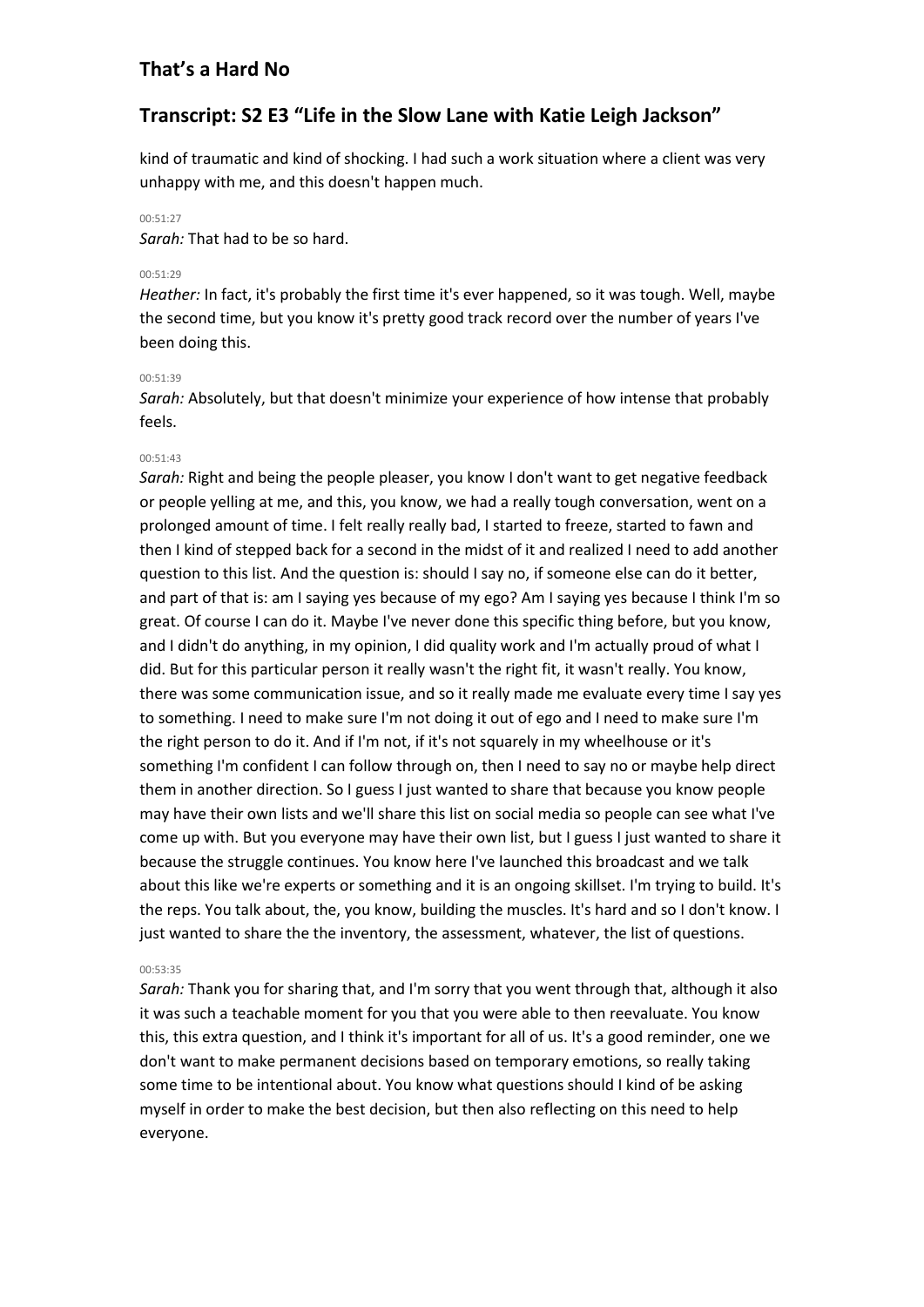# **Transcript: S2 E3 "Life in the Slow Lane with Katie Leigh Jackson"**

kind of traumatic and kind of shocking. I had such a work situation where a client was very unhappy with me, and this doesn't happen much.

# 00:51:27

*Sarah:* That had to be so hard.

# 00:51:29

*Heather:* In fact, it's probably the first time it's ever happened, so it was tough. Well, maybe the second time, but you know it's pretty good track record over the number of years I've been doing this.

# 00:51:39

*Sarah:* Absolutely, but that doesn't minimize your experience of how intense that probably feels.

# 00:51:43

*Sarah:* Right and being the people pleaser, you know I don't want to get negative feedback or people yelling at me, and this, you know, we had a really tough conversation, went on a prolonged amount of time. I felt really really bad, I started to freeze, started to fawn and then I kind of stepped back for a second in the midst of it and realized I need to add another question to this list. And the question is: should I say no, if someone else can do it better, and part of that is: am I saying yes because of my ego? Am I saying yes because I think I'm so great. Of course I can do it. Maybe I've never done this specific thing before, but you know, and I didn't do anything, in my opinion, I did quality work and I'm actually proud of what I did. But for this particular person it really wasn't the right fit, it wasn't really. You know, there was some communication issue, and so it really made me evaluate every time I say yes to something. I need to make sure I'm not doing it out of ego and I need to make sure I'm the right person to do it. And if I'm not, if it's not squarely in my wheelhouse or it's something I'm confident I can follow through on, then I need to say no or maybe help direct them in another direction. So I guess I just wanted to share that because you know people may have their own lists and we'll share this list on social media so people can see what I've come up with. But you everyone may have their own list, but I guess I just wanted to share it because the struggle continues. You know here I've launched this broadcast and we talk about this like we're experts or something and it is an ongoing skillset. I'm trying to build. It's the reps. You talk about, the, you know, building the muscles. It's hard and so I don't know. I just wanted to share the the inventory, the assessment, whatever, the list of questions.

### 00:53:35

*Sarah:* Thank you for sharing that, and I'm sorry that you went through that, although it also it was such a teachable moment for you that you were able to then reevaluate. You know this, this extra question, and I think it's important for all of us. It's a good reminder, one we don't want to make permanent decisions based on temporary emotions, so really taking some time to be intentional about. You know what questions should I kind of be asking myself in order to make the best decision, but then also reflecting on this need to help everyone.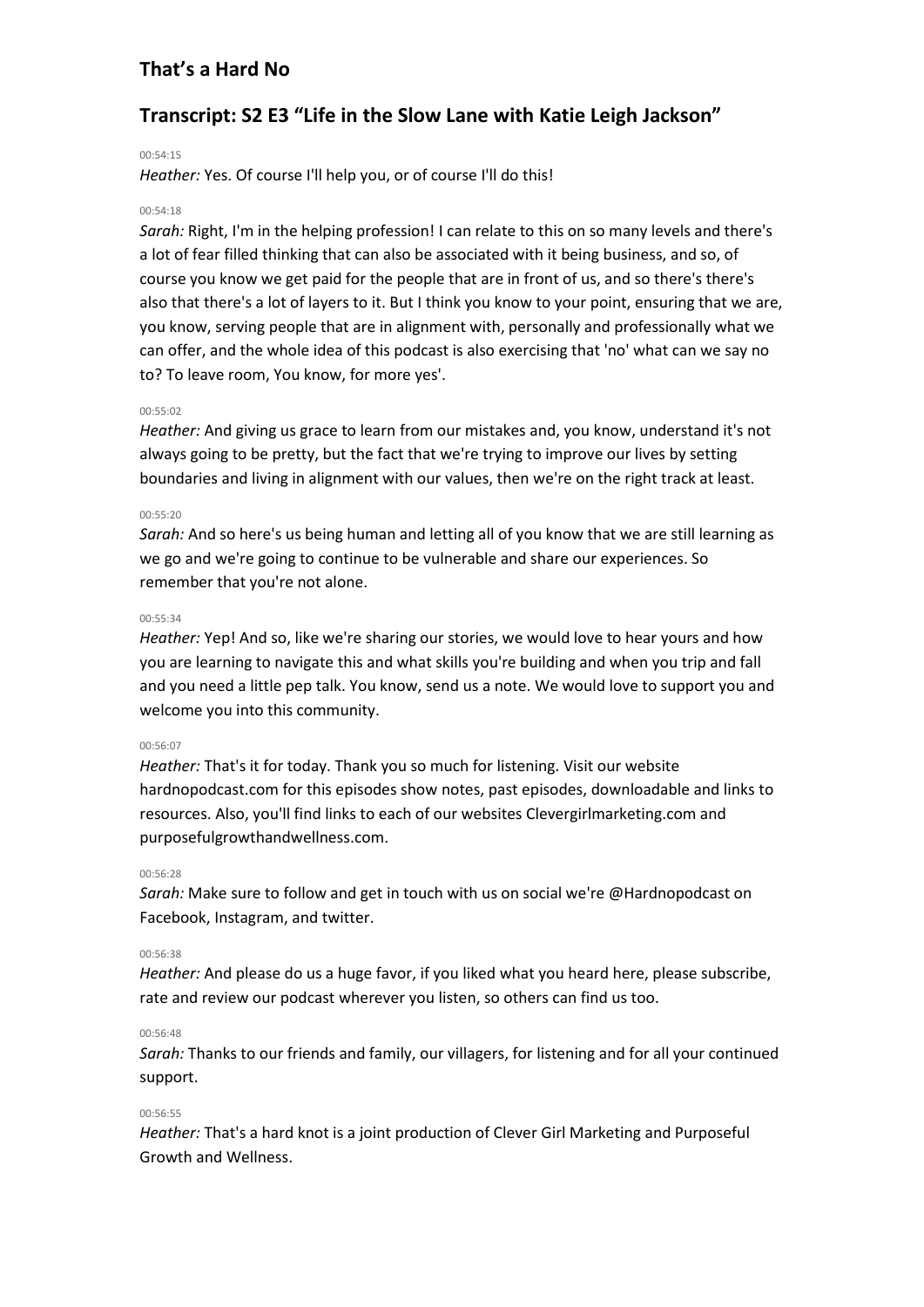# **Transcript: S2 E3 "Life in the Slow Lane with Katie Leigh Jackson"**

#### 00:54:15

*Heather:* Yes. Of course I'll help you, or of course I'll do this!

### 00:54:18

*Sarah:* Right, I'm in the helping profession! I can relate to this on so many levels and there's a lot of fear filled thinking that can also be associated with it being business, and so, of course you know we get paid for the people that are in front of us, and so there's there's also that there's a lot of layers to it. But I think you know to your point, ensuring that we are, you know, serving people that are in alignment with, personally and professionally what we can offer, and the whole idea of this podcast is also exercising that 'no' what can we say no to? To leave room, You know, for more yes'.

#### 00:55:02

*Heather:* And giving us grace to learn from our mistakes and, you know, understand it's not always going to be pretty, but the fact that we're trying to improve our lives by setting boundaries and living in alignment with our values, then we're on the right track at least.

#### 00:55:20

*Sarah:* And so here's us being human and letting all of you know that we are still learning as we go and we're going to continue to be vulnerable and share our experiences. So remember that you're not alone.

#### 00:55:34

*Heather:* Yep! And so, like we're sharing our stories, we would love to hear yours and how you are learning to navigate this and what skills you're building and when you trip and fall and you need a little pep talk. You know, send us a note. We would love to support you and welcome you into this community.

#### 00:56:07

*Heather:* That's it for today. Thank you so much for listening. Visit our website hardnopodcast.com for this episodes show notes, past episodes, downloadable and links to resources. Also, you'll find links to each of our websites Clevergirlmarketing.com and purposefulgrowthandwellness.com.

### 00:56:28

*Sarah:* Make sure to follow and get in touch with us on social we're @Hardnopodcast on Facebook, Instagram, and twitter.

### 00:56:38

*Heather:* And please do us a huge favor, if you liked what you heard here, please subscribe, rate and review our podcast wherever you listen, so others can find us too.

### 00:56:48

*Sarah:* Thanks to our friends and family, our villagers, for listening and for all your continued support.

### 00:56:55

*Heather:* That's a hard knot is a joint production of Clever Girl Marketing and Purposeful Growth and Wellness.